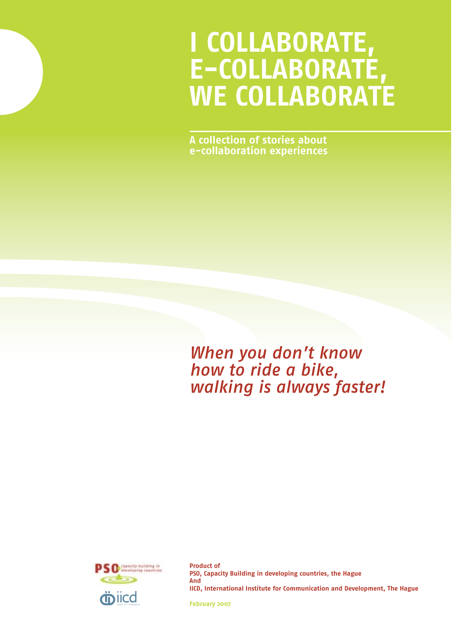# **I COLLABORATE, E-COLLABORATE, WE COLLABORATE**

**A collection of stories about e-collaboration experiences**

*When you don't know how to ride a bike, walking is always faster!*



**Product of PSO, Capacity Building in developing countries, the Hague And IICD, International Institute for Communication and Development, The Hague**

**February 2007**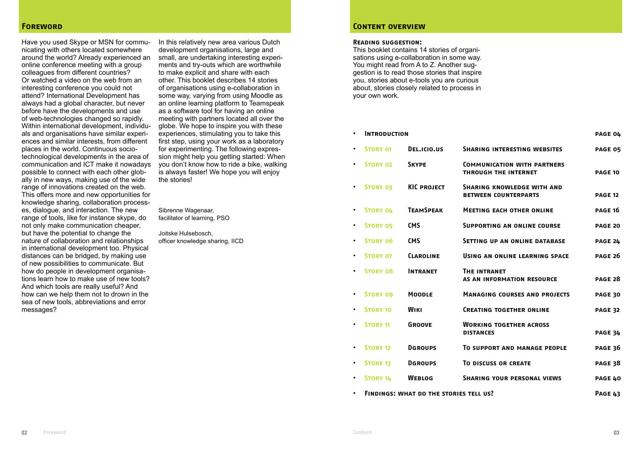#### **Foreword**

Have you used Skype or MSN for communicating with others located somewhere around the world? Already experienced an online conference meeting with a group colleagues from different countries? Or watched a video on the web from an interesting conference you could not attend? International Development has always had a global character, but never before have the developments and use of web-technologies changed so rapidly. Within international development, individuals and organisations have similar experiences and similar interests, from different places in the world. Continuous sociotechnological developments in the area of communication and ICT make it nowadays possible to connect with each other globally in new ways, making use of the wide range of innovations created on the web. This offers more and new opportunities for knowledge sharing, collaboration processes, dialogue, and interaction. The new range of tools, like for instance skype, do not only make communication cheaper, but have the potential to change the nature of collaboration and relationships in international development too. Physical distances can be bridged, by making use of new possibilities to communicate. But how do people in development organisations learn how to make use of new tools? And which tools are really useful? And how can we help them not to drown in the sea of new tools, abbreviations and error messages?

In this relatively new area various Dutch development organisations, large and small, are undertaking interesting experiments and try-outs which are worthwhile to make explicit and share with each other. This booklet describes 14 stories of organisations using e-collaboration in some way, varying from using Moodle as an online learning platform to Teamspeak as a software tool for having an online meeting with partners located all over the globe. We hope to inspire you with these experiences, stimulating you to take this first step, using your work as a laboratory for experimenting. The following expression might help you getting started: When you don't know how to ride a bike, walking is always faster! We hope you will enjoy the stories!

Sibrenne Wagenaar, facilitator of learning, PSO

Joitske Hulsebosch, officer knowledge sharing, IICD

#### **Content overview**

#### **Reading suggestion:**

This booklet contains 14 stories of organisations using e-collaboration in some way. You might read from A to Z. Another suggestion is to read those stories that inspire you, stories about e-tools you are curious about, stories closely related to process in your own work.

## **• Introduction page 04 • Story 01 Del.icio.us Sharing interesting websites page 05 • Story 02 Skype Communication with partners THROUGH THE INTERNET PAGE 10 • Story 03 KIC project Sharing knowledge with and BETWEEN COUNTERPARTS PAGE 12 • Story 04 TeamSpeak Meeting each other online page 16 • Story 05 CMS Supporting an online course page 20 • Story 06 CMS Setting up an online database page 24 • Story 07 Claroline Using an online learning space page 26 • Story 08 Intranet The intranet as an information resource page 28 • Story 09 Moodle Managing courses and projects page 30 • Story 10 Wiki Creating together online page 32 • Story 11 Groove Working together across DISTANCES distances distances page 34 • Story 12 Dgroups To support and manage people page 36 • Story 13 Dgroups To discuss or create page 38 • Story 14 Weblog Sharing your personal views page 40 • Findings: what do the stories tell us? Page 43**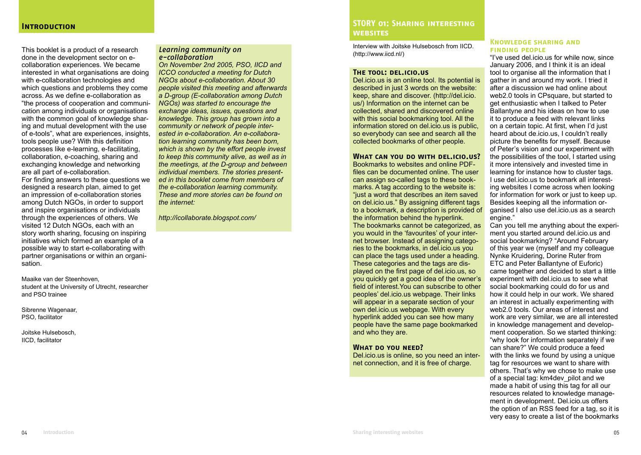This booklet is a product of a research done in the development sector on ecollaboration experiences. We became interested in what organisations are doing with e-collaboration technologies and which questions and problems they come across. As we define e-collaboration as "the process of cooperation and communication among individuals or organisations with the common goal of knowledge sharing and mutual development with the use of e-tools", what are experiences, insights, tools people use? With this definition processes like e-learning, e-facilitating, collaboration, e-coaching, sharing and exchanging knowledge and networking are all part of e-collaboration. For finding answers to these questions we designed a research plan, aimed to get an impression of e-collaboration stories among Dutch NGOs, in order to support and inspire organisations or individuals through the experiences of others. We visited 12 Dutch NGOs, each with an story worth sharing, focusing on inspiring initiatives which formed an example of a possible way to start e-collaborating with partner organisations or within an organisation.

Maaike van der Steenhoven, student at the University of Utrecht, researcher and PSO trainee

Sibrenne Wagenaar, PSO, facilitator

Joitske Hulsebosch, IICD, facilitator

#### *Learning community on e-collaboration*

*On November 2nd 2005, PSO, IICD and ICCO conducted a meeting for Dutch NGOs about e-collaboration. About 30 people visited this meeting and afterwards a D-group (E-collaboration among Dutch NGOs) was started to encourage the exchange ideas, issues, questions and knowledge. This group has grown into a community or network of people interested in e-collaboration. An e-collaboration learning community has been born, which is shown by the effort people invest to keep this community alive, as well as in the meetings, at the D-group and between individual members. The stories presented in this booklet come from members of the e-collaboration learning community. These and more stories can be found on the internet:* 

*http://icollaborate.blogspot.com/*

## **STORY 01: Sharing interesting websites**

Interview with Joitske Hulsebosch from IICD. (http://www.iicd.nl/)

#### **The tool: del.icio.us**

Del.icio.us is an online tool. Its potential is described in just 3 words on the website: keep, share and discover. (http://del.icio. us/) Information on the internet can be collected, shared and discovered online with this social bookmarking tool. All the information stored on del.icio.us is public, so everybody can see and search all the collected bookmarks of other people.

## **What can you do with del.icio.us?**

Bookmarks to websites and online PDFfiles can be documented online. The user can assign so-called tags to these bookmarks. A tag according to the website is: "just a word that describes an item saved on del.icio.us." By assigning different tags to a bookmark, a description is provided of the information behind the hyperlink. The bookmarks cannot be categorized, as you would in the 'favourites' of your internet browser. Instead of assigning categories to the bookmarks, in del.icio.us you can place the tags used under a heading. These categories and the tags are displayed on the first page of del.icio.us, so you quickly get a good idea of the owner's field of interest.You can subscribe to other peoples' del.icio.us webpage. Their links will appear in a separate section of your own del.icio.us webpage. With every hyperlink added you can see how many people have the same page bookmarked and who they are.

#### **What do you need?**

Del.icio.us is online, so you need an internet connection, and it is free of charge.

#### **Knowledge sharing and FINDING PEOPLE**

"I've used del.icio.us for while now, since January 2006, and I think it is an ideal tool to organise all the information that I gather in and around my work. I tried it after a discussion we had online about web2.0 tools in CPsquare, but started to get enthusiastic when I talked to Peter Ballantyne and his ideas on how to use it to produce a feed with relevant links on a certain topic. At first, when I'd just heard about de.icio.us, I couldn't really picture the benefits for myself. Because of Peter's vision and our experiment with the possibilities of the tool, I started using it more intensively and invested time in learning for instance how to cluster tags. I use del.icio.us to bookmark all interesting websites I come across when looking for information for work or just to keep up. Besides keeping all the information organised I also use del.icio.us as a search engine."

Can you tell me anything about the experiment you started around del.icio.us and social bookmarking? "Around February of this year we (myself and my colleague Nynke Kruidering, Dorine Ruter from ETC and Peter Ballantyne of Euforic) came together and decided to start a little experiment with del.icio.us to see what social bookmarking could do for us and how it could help in our work. We shared an interest in actually experimenting with web2.0 tools. Our areas of interest and work are very similar, we are all interested in knowledge management and development cooperation. So we started thinking: "why look for information separately if we can share?" We could produce a feed with the links we found by using a unique tag for resources we want to share with others. That's why we chose to make use of a special tag: km4dev\_pilot and we made a habit of using this tag for all our resources related to knowledge management in development. Del.icio.us offers the option of an RSS feed for a tag, so it is very easy to create a list of the bookmarks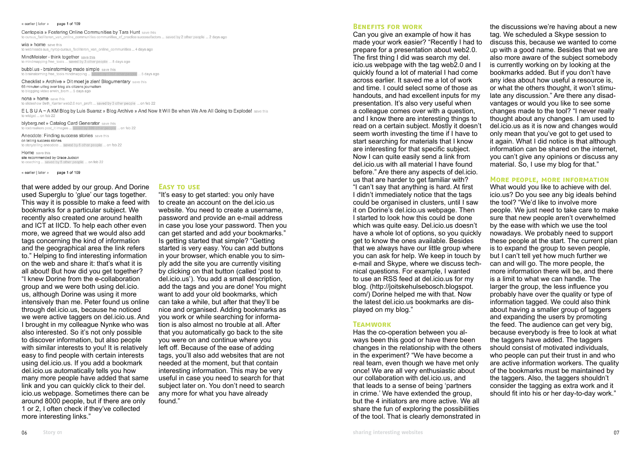#### « earlier I later » page 1 of 109

#### Centopeia » Fostering Online Communities by Tara Hunt save this

to cursus faciliteren van online communities communities of practice successfactors ... saved by 2 other people ... 2 days ago

wia » home save this to webbeads sus, nyron cursus, faciliteren, van online, communities 4 days ago

MindMeister - think together save this to mindmapping free\_tools ... saved by 3 other people ... 5 days ago

bubbl.us - brainstorming made simple save this ennie 5 days ago to brainstorming free tools mindmapping ... saved by

Checklist » Archive » Dit moet je zien! Blogumentary save this 65 minuten uitleg over blog als citizens journalism to blogging video erwin blom ... 5 days ago

nena » home save this to slideshow Beth Kanter web2.0 non profit ... saved by 3 other people ... on feb 22

ELSUA~A KM Blog by Luis Suarez » Blog Archive » And Now It Will Be when We Are All Going to Explode! save this to widget ... on feb 22

blyberg.net » Catalog Card Generator save this to icebreakers post\_it images ... saved by 399 other people ... on feb 22

Anecdote: Finding success stories save this on telling success stories to storytelling anecdote ... saved by 6 other people ... on feb 22

Home save this site recommended by Grace Judson to coaching ... saved by 5 other people ... on feb 22

« earlier | later » page 1 of 109

that were added by our group. And Dorine used Superglu to 'glue' our tags together. This way it is possible to make a feed with bookmarks for a particular subject. We recently also created one around health and ICT at IICD. To help each other even more, we agreed that we would also add tags concerning the kind of information and the geographical area the link refers to." Helping to find interesting information on the web and share it: that's what it is all about! But how did you get together? "I knew Dorine from the e-collaboration group and we were both using del.icio. us, although Dorine was using it more intensively than me. Peter found us online through del.icio.us, because he noticed we were active taggers on del.icio.us. And I brought in my colleague Nynke who was also interested. So it's not only possible to discover information, but also people with similar interests to you! It is relatively easy to find people with certain interests using del.icio.us. If you add a bookmark del.icio.us automatically tells you how many more people have added that same link and you can quickly click to their del. icio.us webpage. Sometimes there can be around 8000 people, but if there are only 1 or 2, I often check if they've collected more interesting links."

#### **Easy to use**

"It's easy to get started: you only have to create an account on the del.icio.us website. You need to create a username, password and provide an e-mail address in case you lose your password. Then you can get started and add your bookmarks." Is getting started that simple? "Getting started is very easy. You can add buttons in your browser, which enable you to simply add the site you are currently visiting by clicking on that button (called 'post to del.icio.us'). You add a small description, add the tags and you are done! You might want to add your old bookmarks, which can take a while, but after that they'll be nice and organised. Adding bookmarks as you work or while searching for information is also almost no trouble at all. After that you automatically go back to the site you were on and continue where you left off. Because of the ease of adding tags, you'll also add websites that are not needed at the moment, but that contain interesting information. This may be very useful in case you need to search for that subject later on. You don't need to search any more for what you have already found."

#### **BENEFITS FOR WORK**

Can you give an example of how it has made your work easier? "Recently I had to prepare for a presentation about web2.0. The first thing I did was search my del. icio.us webpage with the tag web2.0 and I quickly found a lot of material I had come across earlier. It saved me a lot of work and time. I could select some of those as handouts, and had excellent inputs for my presentation. It's also very useful when a colleague comes over with a question, and I know there are interesting things to read on a certain subject. Mostly it doesn't seem worth investing the time if I have to start searching for materials that I know are interesting for that specific subject. Now I can quite easily send a link from del.icio.us with all material I have found before." Are there any aspects of del.icio. us that are harder to get familiar with? "I can't say that anything is hard. At first I didn't immediately notice that the tags could be organised in clusters, until I saw it on Dorine's del.icio.us webpage. Then I started to look how this could be done which was quite easy. Del.icio.us doesn't have a whole lot of options, so you quickly get to know the ones available. Besides that we always have our little group where you can ask for help. We keep in touch by e-mail and Skype, where we discuss technical questions. For example, I wanted to use an RSS feed at del.icio.us for my blog. (http://joitskehulsebosch.blogspot. com/) Dorine helped me with that. Now the latest del.icio.us bookmarks are displayed on my blog."

#### **Teamwork**

Has the co-operation between you always been this good or have there been changes in the relationship with the others in the experiment? "We have become a real team, even though we have met only once! We are all very enthusiastic about our collaboration with del.icio.us, and that leads to a sense of being 'partners in crime.' We have extended the group, but the 4 initiators are more active. We all share the fun of exploring the possibilities of the tool. That is clearly demonstrated in

the discussions we're having about a new tag. We scheduled a Skype session to discuss this, because we wanted to come up with a good name. Besides that we are also more aware of the subject somebody is currently working on by looking at the bookmarks added. But if you don't have any idea about how useful a resource is, or what the others thought, it won't stimulate any discussion." Are there any disadvantages or would you like to see some changes made to the tool? "I never really thought about any changes. I am used to del.icio.us as it is now and changes would only mean that you've got to get used to it again. What I did notice is that although information can be shared on the internet, you can't give any opinions or discuss any material. So, I use my blog for that."

#### **More people, more information**

What would you like to achieve with del. icio.us? Do you see any big ideals behind the tool? "We'd like to involve more people. We just need to take care to make sure that new people aren't overwhelmed by the ease with which we use the tool nowadays. We probably need to support these people at the start. The current plan is to expand the group to seven people, but I can't tell yet how much further we can and will go. The more people, the more information there will be, and there is a limit to what we can handle. The larger the group, the less influence you probably have over the quality or type of information tagged. We could also think about having a smaller group of taggers and expanding the users by promoting the feed. The audience can get very big. because everybody is free to look at what the taggers have added. The taggers should consist of motivated individuals, who people can put their trust in and who are active information workers. The quality of the bookmarks must be maintained by the taggers. Also, the taggers shouldn't consider the tagging as extra work and it should fit into his or her day-to-day work."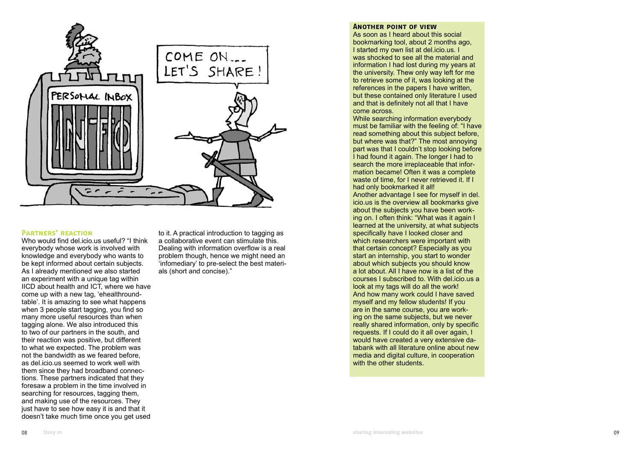

## **Partners' reaction**

Who would find del.icio.us useful? "I think everybody whose work is involved with knowledge and everybody who wants to be kept informed about certain subjects. As I already mentioned we also started an experiment with a unique tag within IICD about health and ICT, where we have come up with a new tag, 'ehealthround table'. It is amazing to see what happens when 3 people start tagging, you find so many more useful resources than when tagging alone. We also introduced this to two of our partners in the south, and their reaction was positive, but different to what we expected. The problem was not the bandwidth as we feared before, as del.icio.us seemed to work well with them since they had broadband connec tions. These partners indicated that they foresaw a problem in the time involved in searching for resources, tagging them, and making use of the resources. They just have to see how easy it is and that it doesn't take much time once you get used

to it. A practical introduction to tagging as a collaborative event can stimulate this. Dealing with information overflow is a real problem though, hence we might need an 'infomediary' to pre-select the best materi als (short and concise)."

#### **Another point of view**

As soon as I heard about this social bookmarking tool, about 2 months ago, I started my own list at del.icio.us. I was shocked to see all the material and information I had lost during my years at the university. Thew only way left for me to retrieve some of it, was looking at the references in the papers I have written, but these contained only literature I used and that is definitely not all that I have come across.

While searching information everybody must be familiar with the feeling of: "I have read something about this subject before, but where was that?" The most annoying part was that I couldn't stop looking before I had found it again. The longer I had to search the more irreplaceable that infor mation became! Often it was a complete waste of time, for I never retrieved it. If I had only bookmarked it all!

Another advantage I see for myself in del. icio.us is the overview all bookmarks give about the subjects you have been work ing on. I often think: "What was it again I learned at the university, at what subjects specifically have I looked closer and which researchers were important with that certain concept? Especially as you start an internship, you start to wonder about which subjects you should know a lot about. All I have now is a list of the courses I subscribed to. With del.icio.us a look at my tags will do all the work! And how many work could I have saved myself and my fellow students! If you are in the same course, you are work ing on the same subjects, but we never really shared information, only by specific requests. If I could do it all over again, I would have created a very extensive da tabank with all literature online about new media and digital culture, in cooperation with the other students.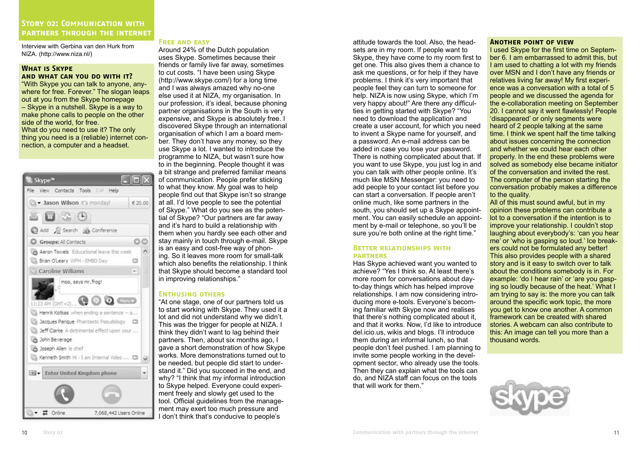## **Story 02: Communication with partners through the internet**

Interview with Gerbina van den Hurk from NIZA. (http://www.niza.nl/)

#### **What is Skype and what can you do with it?**

"With Skype you can talk to anyone, anywhere for free. Forever." The slogan leaps out at you from the Skype homepage – Skype in a nutshell. Skype is a way to make phone calls to people on the other side of the world, for free. What do you need to use it? The only thing you need is a (reliable) internet connection, a computer and a headset.

| 5 Skype™                                                                    |                        |
|-----------------------------------------------------------------------------|------------------------|
| File View Contacts Tools Call Help                                          |                        |
| Jason Wilson it's monday!                                                   | € 20.00                |
| $\bullet$ $\bullet$ $\bullet$                                               |                        |
| Add & Search a Conference                                                   |                        |
| Groups: Al Contacts                                                         | ΟC                     |
| Aaron Towels Educational leave this week<br>CA Brian O'Leary WFH - EMBD Day | ▭                      |
| Caroline Williams                                                           | $m +$                  |
| moo, says mr.frog!<br>u<br>11:23 AM (GMT+2)                                 | $\mathbf{Q}$ (keeps)   |
| Henrik Kotkas when ending a sentence -- a                                   |                        |
| Jacques Parique Phantastic Pseudology [77]                                  |                        |
| La Jeff Clarke A detrimental effect upon your                               |                        |
| John Beverage<br>Joseph Allen le chef                                       |                        |
| Kenneth Smith Hi - I am Internal Video  [3]                                 |                        |
| Enter United Kingdom phone                                                  |                        |
|                                                                             |                        |
| Online                                                                      | 7,068,442 Users Online |

#### **Free and easy**

Around 24% of the Dutch population uses Skype. Sometimes because their friends or family live far away, sometimes to cut costs. "I have been using Skype (http://www.skype.com/) for a long time and I was always amazed why no-one else used it at NIZA, my organisation. In our profession, it's ideal, because phoning partner organisations in the South is very expensive, and Skype is absolutely free. I discovered Skype through an international organisation of which I am a board member. They don't have any money, so they use Skype a lot. I wanted to introduce the programme to NIZA, but wasn't sure how to in the beginning. People thought it was a bit strange and preferred familiar means of communication. People prefer sticking to what they know. My goal was to help people find out that Skype isn't so strange at all. I'd love people to see the potential of Skype." What do you see as the potential of Skype? "Our partners are far away and it's hard to build a relationship with them when you hardly see each other and stay mainly in touch through e-mail. Skype is an easy and cost-free way of phoning. So it leaves more room for small-talk which also benefits the relationship. I think that Skype should become a standard tool in improving relationships."

## **Enthusing others**

"At one stage, one of our partners told us to start working with Skype. They used it a lot and did not understand why we didn't. This was the trigger for people at NIZA. I think they didn't want to lag behind their partners. Then, about six months ago, I gave a short demonstration of how Skype works. More demonstrations turned out to be needed, but people did start to understand it." Did you succeed in the end, and why? "I think that my informal introduction to Skype helped. Everyone could experiment freely and slowly get used to the tool. Official guidelines from the management may exert too much pressure and I don't think that's conducive to people's

attitude towards the tool. Also, the headsets are in my room. If people want to Skype, they have come to my room first to get one. This also gives them a chance to ask me questions, or for help if they have problems. I think it's very important that people feel they can turn to someone for help. NIZA is now using Skype, which I'm very happy about!" Are there any difficulties in getting started with Skype? "You need to download the application and create a user account, for which you need to invent a Skype name for yourself, and a password. An e-mail address can be added in case you lose your password. There is nothing complicated about that. If you want to use Skype, you just log in and you can talk with other people online. It's much like MSN Messenger: you need to add people to your contact list before you can start a conversation. If people aren't online much, like some partners in the south, you should set up a Skype appointment. You can easily schedule an appointment by e-mail or telephone, so you'll be sure you're both online at the right time."

#### **Better relationships with partners**

Has Skype achieved want you wanted to achieve? "Yes I think so. At least there's more room for conversations about dayto-day things which has helped improve relationships. I am now considering introducing more e-tools. Everyone's becoming familiar with Skype now and realises that there's nothing complicated about it, and that it works. Now, I'd like to introduce del.icio.us, wikis and blogs. I'll introduce them during an informal lunch, so that people don't feel pushed. I am planning to invite some people working in the development sector, who already use the tools. Then they can explain what the tools can do, and NIZA staff can focus on the tools that will work for them."

#### **Another point of view**

I used Skype for the first time on September 6. I am embarrassed to admit this, but I am used to chatting a lot with my friends over MSN and I don't have any friends or relatives living far away! My first experience was a conversation with a total of 5 people and we discussed the agenda for the e-collaboration meeting on September 20. I cannot say it went flawlessly! People 'disappeared' or only segments were heard of 2 people talking at the same time. I think we spent half the time talking about issues concerning the connection and whether we could hear each other properly. In the end these problems were solved as somebody else became initiator of the conversation and invited the rest. The computer of the person starting the conversation probably makes a difference to the quality.

All of this must sound awful, but in my opinion these problems can contribute a lot to a conversation if the intention is to improve your relationship. I couldn't stop laughing about everybody's: 'can you hear me' or 'who is gasping so loud.' Ice breakers could not be formulated any better! This also provides people with a shared story and is it easy to switch over to talk about the conditions somebody is in. For example: 'do I hear rain' or 'are you gasping so loudly because of the heat.' What I am trying to say is: the more you can talk around the specific work topic, the more you get to know one another. A common framework can be created with shared stories. A webcam can also contribute to this: An image can tell you more than a thousand words.

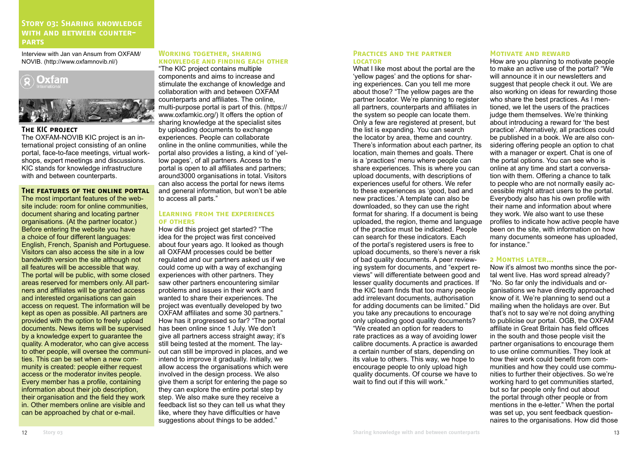## **Story 03: Sharing knowledge with and between counterparts**

Interview with Jan van Ansum from OXFAM/ NOVIB. (http://www.oxfamnovib.nl/)



#### **The KIC project**

The OXFAM-NOVIB KIC project is an international project consisting of an online portal, face-to-face meetings, virtual workshops, expert meetings and discussions. KIC stands for knowledge infrastructure with and between counterparts.

#### **The features of the online portal**

The most important features of the website include: room for online communities, document sharing and locating partner organisations. (At the partner locator.) Before entering the website you have a choice of four different languages: English, French, Spanish and Portuguese. Visitors can also access the site in a low bandwidth version the site although not all features will be accessible that way. The portal will be public, with some closed areas reserved for members only. All partners and affiliates will be granted access and interested organisations can gain access on request. The information will be kept as open as possible. All partners are provided with the option to freely upload documents. News items will be supervised by a knowledge expert to guarantee the quality. A moderator, who can give access to other people, will oversee the communities. This can be set when a new community is created: people either request access or the moderator invites people. Every member has a profile, containing information about their job description, their organisation and the field they work in. Other members online are visible and can be approached by chat or e-mail.

#### **Working together, sharing KNOWLEDGE AND FINDING EACH OTHER**

"The KIC project contains multiple components and aims to increase and stimulate the exchange of knowledge and collaboration with and between OXFAM counterparts and affiliates. The online, multi-purpose portal is part of this. (https:// www.oxfamkic.org/) It offers the option of sharing knowledge at the specialist sites by uploading documents to exchange experiences. People can collaborate online in the online communities, while the portal also provides a listing, a kind of 'yellow pages', of all partners. Access to the portal is open to all affiliates and partners; around3000 organisations in total. Visitors can also access the portal for news items and general information, but won't be able to access all parts."

#### **Learning from the experiences of others**

How did this project get started? "The idea for the project was first conceived about four years ago. It looked as though all OXFAM processes could be better regulated and our partners asked us if we could come up with a way of exchanging experiences with other partners. They saw other partners encountering similar problems and issues in their work and wanted to share their experiences. The project was eventually developed by two OXFAM affiliates and some 30 partners." How has it progressed so far? "The portal has been online since 1 July. We don't give all partners access straight away; it's still being tested at the moment. The layout can still be improved in places, and we intend to improve it gradually. Initially, we allow access the organisations which were involved in the design process. We also give them a script for entering the page so they can explore the entire portal step by step. We also make sure they receive a feedback list so they can tell us what they like, where they have difficulties or have suggestions about things to be added."

#### **PRACTICES AND THE PARTNER locator** What I like most about the portal are the

'yellow pages' and the options for sharing experiences. Can you tell me more about those? "The yellow pages are the partner locator. We're planning to register all partners, counterparts and affiliates in the system so people can locate them. Only a few are registered at present, but the list is expanding. You can search the locator by area, theme and country. There's information about each partner, its location, main themes and goals. There is a 'practices' menu where people can share experiences. This is where you can upload documents, with descriptions of experiences useful for others. We refer to these experiences as 'good, bad and new practices.' A template can also be downloaded, so they can use the right format for sharing. If a document is being uploaded, the region, theme and language of the practice must be indicated. People can search for these indicators. Each of the portal's registered users is free to upload documents, so there's never a risk of bad quality documents. A peer reviewing system for documents, and "expert reviews" will differentiate between good and lesser quality documents and practices. If the KIC team finds that too many people add irrelevant documents, authorisation for adding documents can be limited." Did you take any precautions to encourage only uploading good quality documents? "We created an option for readers to rate practices as a way of avoiding lower calibre documents. A practice is awarded a certain number of stars, depending on its value to others. This way, we hope to encourage people to only upload high quality documents. Of course we have to wait to find out if this will work."

#### **Motivate and reward**

How are you planning to motivate people to make an active use of the portal? "We will announce it in our newsletters and suggest that people check it out. We are also working on ideas for rewarding those who share the best practices. As I mentioned, we let the users of the practices judge them themselves. We're thinking about introducing a reward for 'the best practice'. Alternatively, all practices could be published in a book. We are also considering offering people an option to chat with a manager or expert. Chat is one of the portal options. You can see who is online at any time and start a conversation with them. Offering a chance to talk to people who are not normally easily accessible might attract users to the portal. Everybody also has his own profile with their name and information about where they work. We also want to use these profiles to indicate how active people have been on the site, with information on how many documents someone has uploaded, for instance."

#### **2 Months later…**

Now it's almost two months since the portal went live. Has word spread already? "No. So far only the individuals and organisations we have directly approached know of it. We're planning to send out a mailing when the holidays are over. But that's not to say we're not doing anything to publicise our portal. OGB, the OXFAM affiliate in Great Britain has field offices in the south and those people visit the partner organisations to encourage them to use online communities. They look at how their work could benefit from communities and how they could use communities to further their objectives. So we're working hard to get communities started. but so far people only find out about the portal through other people or from mentions in the e-letter." When the portal was set up, you sent feedback questionnaires to the organisations. How did those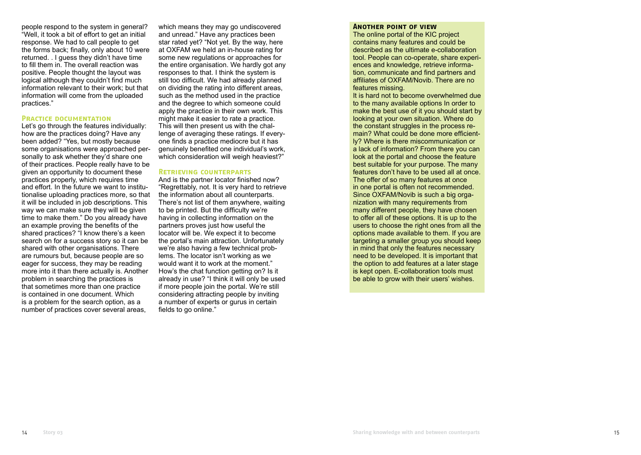people respond to the system in general? "Well, it took a bit of effort to get an initial response. We had to call people to get the forms back; finally, only about 10 were returned. . I guess they didn't have time to fill them in. The overall reaction was positive. People thought the layout was logical although they couldn't find much information relevant to their work; but that information will come from the uploaded practices."

#### **PRACTICE DOCUMENTATION**

Let's go through the features individually: how are the practices doing? Have any been added? "Yes, but mostly because some organisations were approached personally to ask whether they'd share one of their practices. People really have to be given an opportunity to document these practices properly, which requires time and effort. In the future we want to institutionalise uploading practices more, so that it will be included in job descriptions. This way we can make sure they will be given time to make them." Do you already have an example proving the benefits of the shared practices? "I know there's a keen search on for a success story so it can be shared with other organisations. There are rumours but, because people are so eager for success, they may be reading more into it than there actually is. Another problem in searching the practices is that sometimes more than one practice is contained in one document. Which is a problem for the search option, as a number of practices cover several areas,

which means they may go undiscovered and unread." Have any practices been star rated yet? "Not yet. By the way, here at OXFAM we held an in-house rating for some new regulations or approaches for the entire organisation. We hardly got any responses to that. I think the system is still too difficult. We had already planned on dividing the rating into different areas, such as the method used in the practice and the degree to which someone could apply the practice in their own work. This might make it easier to rate a practice. This will then present us with the challenge of averaging these ratings. If everyone finds a practice mediocre but it has genuinely benefited one individual's work, which consideration will weigh heaviest?"

#### **Retrieving counterparts**

And is the partner locator finished now? "Regrettably, not. It is very hard to retrieve the information about all counterparts. There's not list of them anywhere, waiting to be printed. But the difficulty we're having in collecting information on the partners proves just how useful the locator will be. We expect it to become the portal's main attraction. Unfortunately we're also having a few technical problems. The locator isn't working as we would want it to work at the moment." How's the chat function getting on? Is it already in use? "I think it will only be used if more people join the portal. We're still considering attracting people by inviting a number of experts or gurus in certain fields to go online."

#### **Another point of view**

The online portal of the KIC project contains many features and could be described as the ultimate e-collaboration tool. People can co-operate, share experiences and knowledge, retrieve information, communicate and find partners and affiliates of OXFAM/Novib. There are no features missing.

It is hard not to become overwhelmed due to the many available options In order to make the best use of it you should start by looking at your own situation. Where do the constant struggles in the process remain? What could be done more efficiently? Where is there miscommunication or a lack of information? From there you can look at the portal and choose the feature best suitable for your purpose. The many features don't have to be used all at once. The offer of so many features at once in one portal is often not recommended. Since OXFAM/Novib is such a big organization with many requirements from many different people, they have chosen to offer all of these options. It is up to the users to choose the right ones from all the options made available to them. If you are targeting a smaller group you should keep in mind that only the features necessary need to be developed. It is important that the option to add features at a later stage is kept open. E-collaboration tools must be able to grow with their users' wishes.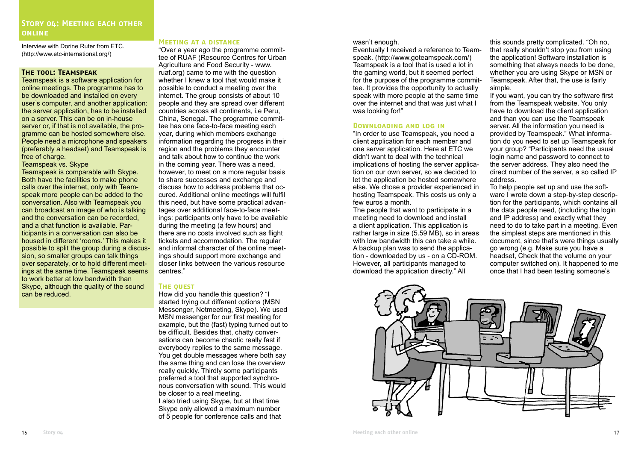## STORY OL: MEETING EACH OTHER **online**

Interview with Dorine Ruter from ETC. (http://www.etc-international.org/)

#### **The tool: Teamspeak**

Teamspeak is a software application for online meetings. The programme has to be downloaded and installed on every user's computer, and another application: the server application, has to be installed on a server. This can be on in-house server or, if that is not available, the programme can be hosted somewhere else. People need a microphone and speakers (preferably a headset) and Teamspeak is free of charge.

#### Teamspeak vs. Skype

Teamspeak is comparable with Skype. Both have the facilities to make phone calls over the internet, only with Teamspeak more people can be added to the conversation. Also with Teamspeak you can broadcast an image of who is talking and the conversation can be recorded, and a chat function is available. Participants in a conversation can also be housed in different 'rooms.' This makes it possible to split the group during a discussion, so smaller groups can talk things over separately, or to hold different meetings at the same time. Teamspeak seems to work better at low bandwidth than Skype, although the quality of the sound can be reduced.

#### **Meeting at a distance**

"Over a year ago the programme committee of RUAF (Resource Centres for Urban Agriculture and Food Security - www. ruaf.org) came to me with the question whether I knew a tool that would make it possible to conduct a meeting over the internet. The group consists of about 10 people and they are spread over different countries across all continents, i.e Peru, China, Senegal. The programme committee has one face-to-face meeting each year, during which members exchange information regarding the progress in their region and the problems they encounter and talk about how to continue the work in the coming year. There was a need, however, to meet on a more regular basis to share successes and exchange and discuss how to address problems that occured. Additional online meetings will fulfil this need, but have some practical advantages over additional face-to-face meetings: participants only have to be available during the meeting (a few hours) and there are no costs involved such as flight tickets and accommodation. The regular and informal character of the online meetings should support more exchange and closer links between the various resource centres."

#### **The quest**

How did you handle this question? "I started trying out different options (MSN Messenger, Netmeeting, Skype). We used MSN messenger for our first meeting for example, but the (fast) typing turned out to be difficult. Besides that, chatty conversations can become chaotic really fast if everybody replies to the same message. You get double messages where both say the same thing and can lose the overview really quickly. Thirdly some participants preferred a tool that supported synchronous conversation with sound. This would be closer to a real meeting. I also tried using Skype, but at that time

Skype only allowed a maximum number of 5 people for conference calls and that

#### wasn't enough.

Eventually I received a reference to Teamspeak. (http://www.goteamspeak.com/) Teamspeak is a tool that is used a lot in the gaming world, but it seemed perfect for the purpose of the programme committee. It provides the opportunity to actually speak with more people at the same time over the internet and that was just what I was looking for!"

## **Downloading and log in**

"In order to use Teamspeak, you need a client application for each member and one server application. Here at ETC we didn't want to deal with the technical implications of hosting the server application on our own server, so we decided to let the application be hosted somewhere else. We chose a provider experienced in hosting Teamspeak. This costs us only a few euros a month.

The people that want to participate in a meeting need to download and install a client application. This application is rather large in size (5.59 MB), so in areas with low bandwidth this can take a while. A backup plan was to send the application - downloaded by us - on a CD-ROM. However, all participants managed to download the application directly." All

this sounds pretty complicated. "Oh no, that really shouldn't stop you from using the application! Software installation is something that always needs to be done, whether you are using Skype or MSN or Teamspeak. After that, the use is fairly simple.

If you want, you can try the software first from the Teamspeak website. You only have to download the client application and than you can use the Teamspeak server. All the information you need is provided by Teamspeak." What information do you need to set up Teamspeak for your group? "Participants need the usual login name and password to connect to the server address. They also need the direct number of the server, a so called IP address.

To help people set up and use the software I wrote down a step-by-step description for the participants, which contains all the data people need, (including the login and IP address) and exactly what they need to do to take part in a meeting. Even the simplest steps are mentioned in this document, since that's were things usually go wrong (e.g. Make sure you have a headset, Check that the volume on your computer switched on). It happened to me once that I had been testing someone's

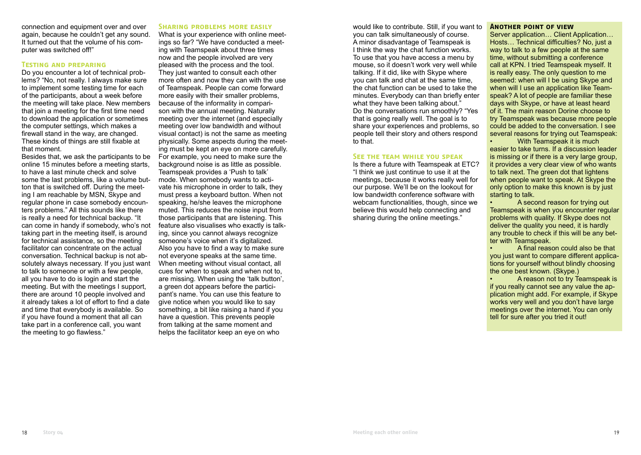connection and equipment over and over again, because he couldn't get any sound. It turned out that the volume of his computer was switched off!"

#### **Testing and preparing**

Do you encounter a lot of technical problems? "No, not really. I always make sure to implement some testing time for each of the participants, about a week before the meeting will take place. New members that join a meeting for the first time need to download the application or sometimes the computer settings, which makes a firewall stand in the way, are changed. These kinds of things are still fixable at that moment.

Besides that, we ask the participants to be online 15 minutes before a meeting starts, to have a last minute check and solve some the last problems, like a volume button that is switched off. During the meeting I am reachable by MSN, Skype and regular phone in case somebody encounters problems." All this sounds like there is really a need for technical backup. "It can come in handy if somebody, who's not taking part in the meeting itself, is around for technical assistance, so the meeting facilitator can concentrate on the actual conversation. Technical backup is not absolutely always necessary. If you just want to talk to someone or with a few people, all you have to do is login and start the meeting. But with the meetings I support, there are around 10 people involved and it already takes a lot of effort to find a date and time that everybody is available. So if you have found a moment that all can take part in a conference call, you want the meeting to go flawless."

#### **Sharing problems more easily**

What is your experience with online meetings so far? "We have conducted a meeting with Teamspeak about three times now and the people involved are very pleased with the process and the tool. They just wanted to consult each other more often and now they can with the use of Teamspeak. People can come forward more easily with their smaller problems, because of the informality in comparison with the annual meeting. Naturally meeting over the internet (and especially meeting over low bandwidth and without visual contact) is not the same as meeting physically. Some aspects during the meeting must be kept an eye on more carefully. For example, you need to make sure the background noise is as little as possible. Teamspeak provides a 'Push to talk' mode. When somebody wants to activate his microphone in order to talk, they must press a keyboard button. When not speaking, he/she leaves the microphone muted. This reduces the noise input from those participants that are listening. This feature also visualises who exactly is talking, since you cannot always recognize someone's voice when it's digitalized. Also you have to find a way to make sure not everyone speaks at the same time. When meeting without visual contact, all cues for when to speak and when not to, are missing. When using the 'talk button', a green dot appears before the participant's name. You can use this feature to give notice when you would like to say something, a bit like raising a hand if you have a question. This prevents people from talking at the same moment and helps the facilitator keep an eye on who

would like to contribute. Still, if you want to you can talk simultaneously of course. A minor disadvantage of Teamspeak is I think the way the chat function works. To use that you have access a menu by mouse, so it doesn't work very well while talking. If it did, like with Skype where you can talk and chat at the same time, the chat function can be used to take the minutes. Everybody can than briefly enter what they have been talking about." Do the conversations run smoothly? "Yes that is going really well. The goal is to share your experiences and problems, so people tell their story and others respond to that.

#### **See the team while you speak**

Is there a future with Teamspeak at ETC? "I think we just continue to use it at the meetings, because it works really well for our purpose. We'll be on the lookout for low bandwidth conference software with webcam functionalities, though, since we believe this would help connecting and sharing during the online meetings."

#### **Another point of view**

Server application… Client Application… Hosts… Technical difficulties? No, just a way to talk to a few people at the same time, without submitting a conference call at KPN. I tried Teamspeak myself. It is really easy. The only question to me seemed: when will I be using Skype and when will I use an application like Teamspeak? A lot of people are familiar these days with Skype, or have at least heard of it. The main reason Dorine choose to try Teamspeak was because more people could be added to the conversation. I see several reasons for trying out Teamspeak:

• With Teamspeak it is much easier to take turns. If a discussion leader is missing or if there is a very large group, it provides a very clear view of who wants to talk next. The green dot that lightens when people want to speak. At Skype the only option to make this known is by just starting to talk.

• A second reason for trying out Teamspeak is when you encounter regular problems with quality. If Skype does not deliver the quality you need, it is hardly any trouble to check if this will be any better with Teamspeak.

• A final reason could also be that you just want to compare different applications for yourself without blindly choosing the one best known. (Skype.)

• A reason not to try Teamspeak is if you really cannot see any value the application might add. For example, if Skype works very well and you don't have large meetings over the internet. You can only tell for sure after you tried it out!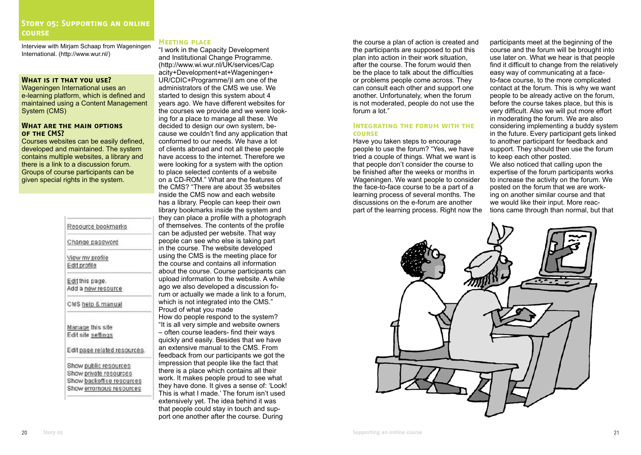Interview with Mirjam Schaap from Wageningen International. (http://www.wur.nl/)

## **What is it that you use?**

Wageningen International uses an e-learning platform, which is defined and maintained using a Content Management System (CMS)

#### **What are the main options of the CMS?**

Courses websites can be easily defined, developed and maintained. The system contains multiple websites, a library and there is a link to a discussion forum. Groups of course participants can be given special rights in the system.

| Change password    |                              |
|--------------------|------------------------------|
| View my profile    |                              |
| Edit profile       |                              |
| Edit this page.    |                              |
|                    | Add a new resource           |
|                    | CMS help & manual            |
| Manage this site   |                              |
| Edit site settings |                              |
|                    | Edit page related resources. |
|                    | Show public resources        |
|                    | Show private resources       |
|                    | Show backoffice resources    |
|                    | Show errornous resources     |

#### **Meeting place**

"I work in the Capacity Development and Institutional Change Programme. (http://www.wi.wur.nl/UK/services/Cap acity+Development+at+Wageningen+ UR/CDIC+Programme/)I am one of the administrators of the CMS we use. We started to design this system about 4 years ago. We have different websites for the courses we provide and we were looking for a place to manage all these. We decided to design our own system, because we couldn't find any application that conformed to our needs. We have a lot of clients abroad and not all these people have access to the internet. Therefore we were looking for a system with the option to place selected contents of a website on a CD-ROM." What are the features of the CMS? "There are about 35 websites inside the CMS now and each website has a library. People can keep their own library bookmarks inside the system and they can place a profile with a photograph of themselves. The contents of the profile can be adjusted per website. That way people can see who else is taking part in the course. The website developed using the CMS is the meeting place for the course and contains all information about the course. Course participants can upload information to the website. A while ago we also developed a discussion forum or actually we made a link to a forum, which is not integrated into the CMS." Proud of what you made How do people respond to the system? "It is all very simple and website owners – often course leaders- find their ways quickly and easily. Besides that we have an extensive manual to the CMS. From feedback from our participants we got the impression that people like the fact that there is a place which contains all their

work. It makes people proud to see what they have done. It gives a sense of: 'Look! This is what I made.' The forum isn't used extensively yet. The idea behind it was that people could stay in touch and support one another after the course. During

the course a plan of action is created and the participants are supposed to put this plan into action in their work situation, after the course. The forum would then be the place to talk about the difficulties or problems people come across. They can consult each other and support one another. Unfortunately, when the forum is not moderated, people do not use the forum a lot."

## **Integrating the forum with the course**

Have you taken steps to encourage people to use the forum? "Yes, we have tried a couple of things. What we want is that people don't consider the course to be finished after the weeks or months in Wageningen. We want people to consider the face-to-face course to be a part of a learning process of several months. The discussions on the e-forum are another part of the learning process. Right now the participants meet at the beginning of the course and the forum will be brought into use later on. What we hear is that people find it difficult to change from the relatively easy way of communicating at a faceto-face course, to the more complicated contact at the forum. This is why we want people to be already active on the forum, before the course takes place, but this is very difficult. Also we will put more effort in moderating the forum. We are also considering implementing a buddy system in the future. Every participant gets linked to another participant for feedback and support. They should then use the forum to keep each other posted.

We also noticed that calling upon the expertise of the forum participants works to increase the activity on the forum. We posted on the forum that we are working on another similar course and that we would like their input. More reactions came through than normal, but that

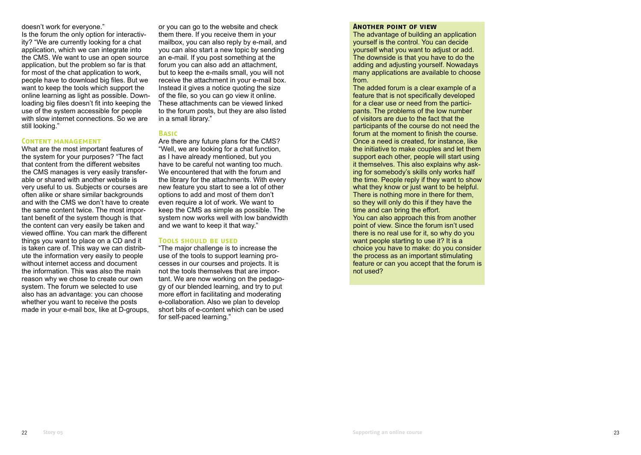doesn't work for everyone."

Is the forum the only option for interactivity? "We are currently looking for a chat application, which we can integrate into the CMS. We want to use an open source application, but the problem so far is that for most of the chat application to work, people have to download big files. But we want to keep the tools which support the online learning as light as possible. Downloading big files doesn't fit into keeping the use of the system accessible for people with slow internet connections. So we are still looking."

#### **Content management**

What are the most important features of the system for your purposes? "The fact that content from the different websites the CMS manages is very easily transferable or shared with another website is very useful to us. Subjects or courses are often alike or share similar backgrounds and with the CMS we don't have to create the same content twice. The most important benefit of the system though is that the content can very easily be taken and viewed offline. You can mark the different things you want to place on a CD and it is taken care of. This way we can distribute the information very easily to people without internet access and document the information. This was also the main reason why we chose to create our own system. The forum we selected to use also has an advantage: you can choose whether you want to receive the posts made in your e-mail box, like at D-groups,

or you can go to the website and check them there. If you receive them in your mailbox, you can also reply by e-mail, and you can also start a new topic by sending an e-mail. If you post something at the forum you can also add an attachment, but to keep the e-mails small, you will not receive the attachment in your e-mail box. Instead it gives a notice quoting the size of the file, so you can go view it online. These attachments can be viewed linked to the forum posts, but they are also listed in a small library."

## **Basic**

Are there any future plans for the CMS? "Well, we are looking for a chat function, as I have already mentioned, but you have to be careful not wanting too much. We encountered that with the forum and the library for the attachments. With every new feature you start to see a lot of other options to add and most of them don't even require a lot of work. We want to keep the CMS as simple as possible. The system now works well with low bandwidth and we want to keep it that way."

#### **Tools should be used**

"The major challenge is to increase the use of the tools to support learning processes in our courses and projects. It is not the tools themselves that are important. We are now working on the pedagogy of our blended learning, and try to put more effort in facilitating and moderating e-collaboration. Also we plan to develop short bits of e-content which can be used for self-paced learning."

#### **Another point of view**

The advantage of building an application yourself is the control. You can decide yourself what you want to adjust or add. The downside is that you have to do the adding and adjusting yourself. Nowadays many applications are available to choose from.

The added forum is a clear example of a feature that is not specifically developed for a clear use or need from the participants. The problems of the low number of visitors are due to the fact that the participants of the course do not need the forum at the moment to finish the course. Once a need is created, for instance, like the initiative to make couples and let them support each other, people will start using it themselves. This also explains why asking for somebody's skills only works half the time. People reply if they want to show what they know or just want to be helpful. There is nothing more in there for them, so they will only do this if they have the time and can bring the effort. You can also approach this from another point of view. Since the forum isn't used there is no real use for it, so why do you want people starting to use it? It is a choice you have to make: do you consider the process as an important stimulating feature or can you accept that the forum is not used?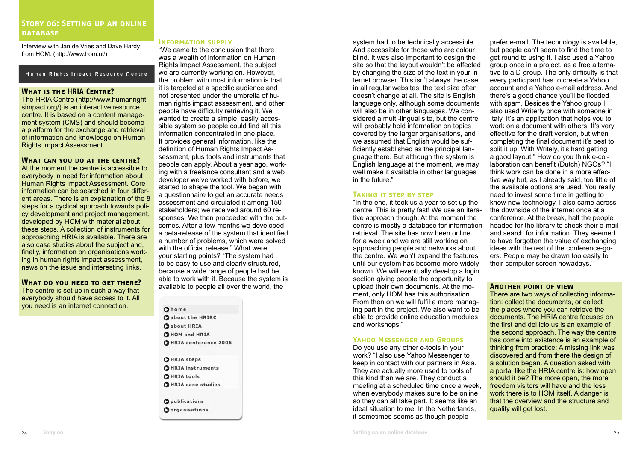## **Story 06: Setting up an online database**

Interview with Jan de Vries and Dave Hardy from HOM. (http://www.hom.nl/)

#### Human Rights Impact Resource Centre

## **What is the HRIA Centre?**

The HRIA Centre (http://www.humanrightsimpact.org/) is an interactive resource centre. It is based on a content management system (CMS) and should become a platform for the exchange and retrieval of information and knowledge on Human Rights Impact Assessment.

#### **What can you do at the centre?**

At the moment the centre is accessible to everybody in need for information about Human Rights Impact Assessment. Core information can be searched in four different areas. There is an explanation of the 8 steps for a cyclical approach towards policy development and project management, developed by HOM with material about these steps. A collection of instruments for approaching HRIA is available. There are also case studies about the subject and, finally, information on organisations working in human rights impact assessment, news on the issue and interesting links.

#### **What do you need to get there?** The centre is set up in such a way that

everybody should have access to it. All you need is an internet connection.

#### **Information supply**

"We came to the conclusion that there was a wealth of information on Human Rights Impact Assessment, the subject we are currently working on. However, the problem with most information is that it is targeted at a specific audience and not presented under the umbrella of human rights impact assessment, and other people have difficulty retrieving it. We wanted to create a simple, easily accessible system so people could find all this information concentrated in one place. It provides general information, like the definition of Human Rights Impact Assessment, plus tools and instruments that people can apply. About a year ago, working with a freelance consultant and a web developer we've worked with before, we started to shape the tool. We began with a questionnaire to get an accurate needs assessment and circulated it among 150 stakeholders; we received around 60 responses. We then proceeded with the outcomes. After a few months we developed a beta-release of the system that identified a number of problems, which were solved with the official release." What were your starting points? "The system had to be easy to use and clearly structured, because a wide range of people had be able to work with it. Because the system is available to people all over the world, the

## Ohome

**O** about the HRIRC **O**about HRIA **CHOM** and HRIA OHRIA conference 2006

**OHRIA** steps **OHRIA** instruments **OHRIA** tools **OHRIA** case studies

**O**publications Oorganisations system had to be technically accessible. And accessible for those who are colour blind. It was also important to design the site so that the layout wouldn't be affected by changing the size of the text in your internet browser. This isn't always the case in all regular websites: the text size often doesn't change at all. The site is English language only, although some documents will also be in other languages. We considered a multi-lingual site, but the centre will probably hold information on topics covered by the larger organisations, and we assumed that English would be sufficiently established as the principal language there. But although the system is English language at the moment, we may well make it available in other languages in the future."

#### **Taking it step by step**

"In the end, it took us a year to set up the centre. This is pretty fast! We use an iterative approach though. At the moment the centre is mostly a database for information retrieval. The site has now been online for a week and we are still working on approaching people and networks about the centre. We won't expand the features until our system has become more widely known. We will eventually develop a login section giving people the opportunity to upload their own documents. At the moment, only HOM has this authorisation. From then on we will fulfil a more managing part in the project. We also want to be able to provide online education modules and workshops."

#### **Yahoo Messenger and Groups**

Do you use any other e-tools in your work? "I also use Yahoo Messenger to keep in contact with our partners in Asia. They are actually more used to tools of this kind than we are. They conduct a meeting at a scheduled time once a week, when everybody makes sure to be online so they can all take part. It seems like an ideal situation to me. In the Netherlands, it sometimes seems as though people

prefer e-mail. The technology is available, but people can't seem to find the time to get round to using it. I also used a Yahoo group once in a project, as a free alternative to a D-group. The only difficulty is that every participant has to create a Yahoo account and a Yahoo e-mail address. And there's a good chance you'll be flooded with spam. Besides the Yahoo group I also used Writerly once with someone in Italy. It's an application that helps you to work on a document with others. It's very effective for the draft version, but when completing the final document it's best to split it up. With Writely, it's hard getting a good layout." How do you think e-collaboration can benefit (Dutch) NGOs? "I think work can be done in a more effective way but, as I already said, too little of the available options are used. You really need to invest some time in getting to know new technology. I also came across the downside of the internet once at a conference. At the break, half the people headed for the library to check their e-mail and search for information. They seemed to have forgotten the value of exchanging ideas with the rest of the conference-goers. People may be drawn too easily to their computer screen nowadays."

#### **Another point of view**

There are two ways of collecting information: collect the documents, or collect the places where you can retrieve the documents. The HRIA centre focuses on the first and del.icio.us is an example of the second approach. The way the centre has come into existence is an example of thinking from practice: A missing link was discovered and from there the design of a solution began. A question asked with a portal like the HRIA centre is: how open should it be? The more open, the more freedom visitors will have and the less work there is to HOM itself. A danger is that the overview and the structure and quality will get lost.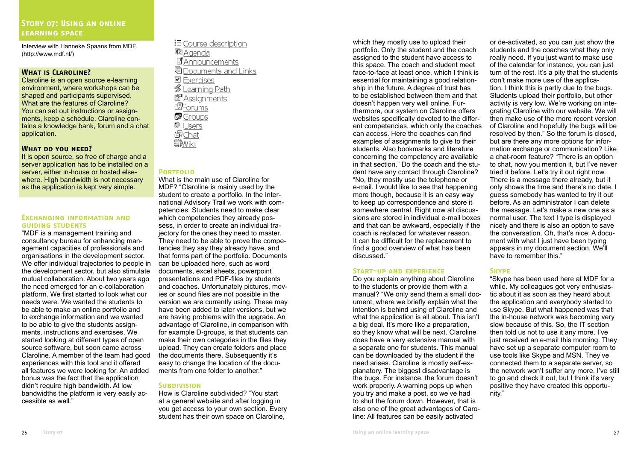Interview with Hanneke Spaans from MDF. (http://www.mdf.nl/)

#### **What is Claroline?**

Claroline is an open source e-learning environment, where workshops can be shaped and participants supervised. What are the features of Claroline? You can set out instructions or assignments, keep a schedule. Claroline contains a knowledge bank, forum and a chat application.

#### **What do you need?**

It is open source, so free of charge and a server application has to be installed on a server, either in-house or hosted elsewhere. High bandwidth is not necessary as the application is kept very simple.

#### **Exchanging information and guiding students**

"MDF is a management training and consultancy bureau for enhancing management capacities of professionals and organisations in the development sector. We offer individual trajectories to people in the development sector, but also stimulate mutual collaboration. About two years ago the need emerged for an e-collaboration platform. We first started to look what our needs were. We wanted the students to be able to make an online portfolio and to exchange information and we wanted to be able to give the students assignments, instructions and exercises. We started looking at different types of open source software, but soon came across Claroline. A member of the team had good experiences with this tool and it offered all features we were looking for. An added bonus was the fact that the application didn't require high bandwidth. At low bandwidths the platform is very easily accessible as well."

 $\equiv$  Course description **图 Agenda** 国 Announcements **Cocuments and Links**  $\n *E X er C is es S*$ • Learning Path **Resignments EForums P** Groups **Q** Users 圖Chat Wiki

#### **Portfolio**

What is the main use of Claroline for MDF? "Claroline is mainly used by the student to create a portfolio. In the International Advisory Trail we work with competencies: Students need to make clear which competencies they already possess, in order to create an individual trajectory for the ones they need to master. They need to be able to prove the competencies they say they already have, and that forms part of the portfolio. Documents can be uploaded here, such as word documents, excel sheets, powerpoint presentations and PDF-files by students and coaches. Unfortunately pictures, movies or sound files are not possible in the version we are currently using. These may have been added to later versions, but we are having problems with the upgrade. An advantage of Claroline, in comparison with for example D-groups, is that students can make their own categories in the files they upload. They can create folders and place the documents there. Subsequently it's easy to change the location of the documents from one folder to another."

#### **SUBDIVISION**

How is Claroline subdivided? "You start at a general website and after logging in you get access to your own section. Every student has their own space on Claroline.

which they mostly use to upload their portfolio. Only the student and the coach assigned to the student have access to this space. The coach and student meet face-to-face at least once, which I think is essential for maintaining a good relationship in the future. A degree of trust has to be established between them and that doesn't happen very well online. Furthermore, our system on Claroline offers websites specifically devoted to the different competencies, which only the coaches can access. Here the coaches can find examples of assignments to give to their students. Also bookmarks and literature concerning the competency are available in that section." Do the coach and the student have any contact through Claroline? "No, they mostly use the telephone or e-mail. I would like to see that happening more though, because it is an easy way to keep up correspondence and store it somewhere central. Right now all discussions are stored in individual e-mail boxes and that can be awkward, especially if the coach is replaced for whatever reason. It can be difficult for the replacement to find a good overview of what has been discussed."

#### **Start-up and experience**

Do you explain anything about Claroline to the students or provide them with a manual? "We only send them a small document, where we briefly explain what the intention is behind using of Claroline and what the application is all about. This isn't a big deal. It's more like a preparation, so they know what will be next. Claroline does have a very extensive manual with a separate one for students. This manual can be downloaded by the student if the need arises. Claroline is mostly self-explanatory. The biggest disadvantage is the bugs. For instance, the forum doesn't work properly. A warning pops up when you try and make a post, so we've had to shut the forum down. However, that is also one of the great advantages of Caroline: All features can be easily activated

or de-activated, so you can just show the students and the coaches what they only really need. If you just want to make use of the calendar for instance, you can just turn of the rest. It's a pity that the students don't make more use of the application. I think this is partly due to the bugs. Students upload their portfolio, but other activity is very low. We're working on integrating Claroline with our website. We will then make use of the more recent version of Claroline and hopefully the bugs will be resolved by then." So the forum is closed, but are there any more options for information exchange or communication? Like a chat-room feature? "There is an option to chat, now you mention it, but I've never tried it before. Let's try it out right now. There is a message there already, but it only shows the time and there's no date. I guess somebody has wanted to try it out before. As an administrator I can delete the message. Let's make a new one as a normal user. The text I type is displayed nicely and there is also an option to save the conversation. Oh, that's nice: A document with what I just have been typing appears in my document section. We'll have to remember this."

#### **Skype**

"Skype has been used here at MDF for a while. My colleagues got very enthusiastic about it as soon as they heard about the application and everybody started to use Skype. But what happened was that the in-house network was becoming very slow because of this. So, the IT section then told us not to use it any more. I've just received an e-mail this morning. They have set up a separate computer room to use tools like Skype and MSN. They've connected them to a separate server, so the network won't suffer any more. I've still to go and check it out, but I think it's very positive they have created this opportunity."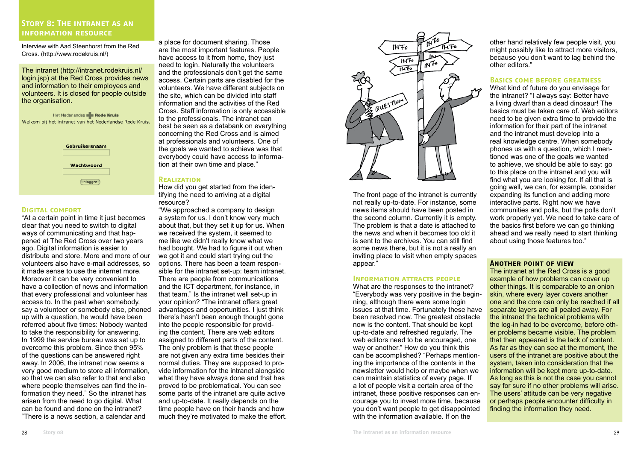## **Story 8: The intranet as an information resource**

Interview with Aad Steenhorst from the Red Cross. (http://www.rodekruis.nl/)

The intranet (http://intranet.rodekruis.nl/ login.jsp) at the Red Cross provides news and information to their employees and volunteers. It is closed for people outside the organisation.

Het Nederlandse **Rode Kruis** Welkom bij het intranet van het Nederlandse Rode Kruis. Gebruikersnaam

| Wachtwoord |
|------------|
|            |
| Inloggen   |
|            |

#### **Digital comfort**

"At a certain point in time it just becomes clear that you need to switch to digital ways of communicating and that happened at The Red Cross over two years ago. Digital information is easier to distribute and store. More and more of our volunteers also have e-mail addresses, so it made sense to use the internet more. Moreover it can be very convenient to have a collection of news and information that every professional and volunteer has access to. In the past when somebody, say a volunteer or somebody else, phoned up with a question, he would have been referred about five times: Nobody wanted to take the responsibility for answering. In 1999 the service bureau was set up to overcome this problem. Since then 95% of the questions can be answered right away. In 2006, the intranet now seems a very good medium to store all information, so that we can also refer to that and also where people themselves can find the information they need." So the intranet has arisen from the need to go digital. What can be found and done on the intranet? "There is a news section, a calendar and

a place for document sharing. Those are the most important features. People have access to it from home, they just need to login. Naturally the volunteers and the professionals don't get the same access. Certain parts are disabled for the volunteers. We have different subjects on the site, which can be divided into staff information and the activities of the Red Cross. Staff information is only accessible to the professionals. The intranet can best be seen as a databank on everything concerning the Red Cross and is aimed at professionals and volunteers. One of the goals we wanted to achieve was that everybody could have access to information at their own time and place."

## **Realization**

How did you get started from the identifying the need to arriving at a digital resource?

"We approached a company to design a system for us. I don't know very much about that, but they set it up for us. When we received the system, it seemed to me like we didn't really know what we had bought. We had to figure it out when we got it and could start trying out the options. There has been a team responsible for the intranet set-up: team intranet. There are people from communications and the ICT department, for instance, in that team." Is the intranet well set-up in your opinion? "The intranet offers great advantages and opportunities. I just think there's hasn't been enough thought gone into the people responsible for providing the content. There are web editors assigned to different parts of the content. The only problem is that these people are not given any extra time besides their normal duties. They are supposed to provide information for the intranet alongside what they have always done and that has proved to be problematical. You can see some parts of the intranet are quite active and up-to-date. It really depends on the time people have on their hands and how much they're motivated to make the effort.



The front page of the intranet is currently not really up-to-date. For instance, some news items should have been posted in the second column. Currently it is empty. The problem is that a date is attached to the news and when it becomes too old it is sent to the archives. You can still find some news there, but it is not a really an inviting place to visit when empty spaces appear."

## **Information attracts people**

What are the responses to the intranet? "Everybody was very positive in the beginning, although there were some login issues at that time. Fortunately these have been resolved now. The greatest obstacle now is the content. That should be kept up-to-date and refreshed regularly. The web editors need to be encouraged, one way or another." How do you think this can be accomplished? "Perhaps mentioning the importance of the contents in the newsletter would help or maybe when we can maintain statistics of every page. If a lot of people visit a certain area of the intranet, these positive responses can encourage you to invest more time, because you don't want people to get disappointed with the information available. If on the

other hand relatively few people visit, you might possibly like to attract more visitors, because you don't want to lag behind the other editors."

#### **Basics come before greatness**

What kind of future do you envisage for the intranet? "I always say: Better have a living dwarf than a dead dinosaur! The basics must be taken care of. Web editors need to be given extra time to provide the information for their part of the intranet and the intranet must develop into a real knowledge centre. When somebody phones us with a question, which I mentioned was one of the goals we wanted to achieve, we should be able to say: go to this place on the intranet and you will find what you are looking for. If all that is going well, we can, for example, consider expanding its function and adding more interactive parts. Right now we have communities and polls, but the polls don't work properly yet. We need to take care of the basics first before we can go thinking ahead and we really need to start thinking about using those features too."

#### **Another point of view**

The intranet at the Red Cross is a good example of how problems can cover up other things. It is comparable to an onion skin, where every layer covers another one and the core can only be reached if all separate layers are all pealed away. For the intranet the technical problems with the log-in had to be overcome, before other problems became visible. The problem that then appeared is the lack of content. As far as they can see at the moment, the users of the intranet are positive about the system, taken into consideration that the information will be kept more up-to-date. As long as this is not the case you cannot say for sure if no other problems will arise. The users' attitude can be very negative or perhaps people encounter difficulty in finding the information they need.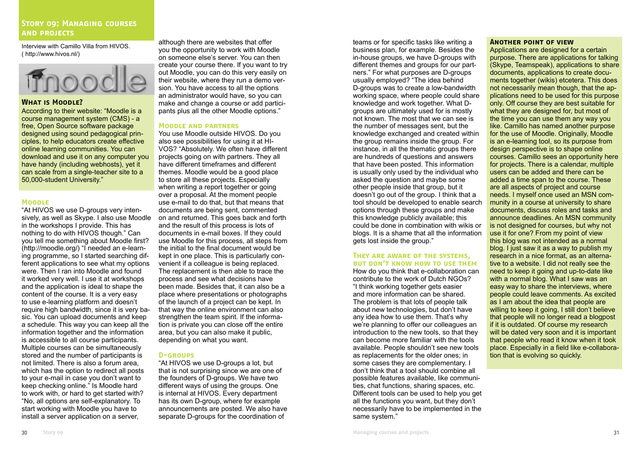## **Story 09: Managing courses and projects**

Interview with Camillo Villa from HIVOS. ( http://www.hivos.nl/)



#### **What is Moodle?**

According to their website: "Moodle is a course management system (CMS) - a free, Open Source software package designed using sound pedagogical principles, to help educators create effective online learning communities. You can download and use it on any computer you have handy (including webhosts), yet it can scale from a single-teacher site to a 50,000-student University."

#### **Moodle**

"At HIVOS we use D-groups very intensively, as well as Skype. I also use Moodle in the workshops I provide. This has nothing to do with HIVOS though." Can you tell me something about Moodle first? (http://moodle.org/) "I needed an e-learning programme, so I started searching different applications to see what my options were. Then I ran into Moodle and found it worked very well. I use it at workshops and the application is ideal to shape the content of the course. It is a very easy to use e-learning platform and doesn't require high bandwidth, since it is very basic. You can upload documents and keep a schedule. This way you can keep all the information together and the information is accessible to all course participants. Multiple courses can be simultaneously stored and the number of participants is not limited. There is also a forum area, which has the option to redirect all posts to your e-mail in case you don't want to keep checking online." Is Moodle hard to work with, or hard to get started with? "No, all options are self-explanatory. To start working with Moodle you have to install a server application on a server,

although there are websites that offer you the opportunity to work with Moodle on someone else's server. You can then create your course there. If you want to try out Moodle, you can do this very easily on their website, where they run a demo version. You have access to all the options an administrator would have, so you can make and change a course or add participants plus all the other Moodle options."

#### **Moodle and partners**

You use Moodle outside HIVOS. Do you also see possibilities for using it at HI-VOS? "Absolutely. We often have different projects going on with partners. They all have different timeframes and different themes. Moodle would be a good place to store all these projects. Especially when writing a report together or going over a proposal. At the moment people use e-mail to do that, but that means that documents are being sent, commented on and returned. This goes back and forth and the result of this process is lots of documents in e-mail boxes. If they could use Moodle for this process, all steps from the initial to the final document would be kept in one place. This is particularly convenient if a colleague is being replaced. The replacement is then able to trace the process and see what decisions have been made. Besides that, it can also be a place where presentations or photographs of the launch of a project can be kept. In that way the online environment can also strengthen the team spirit. If the information is private you can close off the entire area, but you can also make it public, depending on what you want.

## **D-groups**

"At HIVOS we use D-groups a lot, but that is not surprising since we are one of the founders of D-groups. We have two different ways of using the groups. One is internal at HIVOS. Every department has its own D-group, where for example announcements are posted. We also have separate D-groups for the coordination of

#### teams or for specific tasks like writing a business plan, for example. Besides the in-house groups, we have D-groups with different themes and groups for our partners." For what purposes are D-groups usually employed? "The idea behind D-groups was to create a low-bandwidth working space, where people could share knowledge and work together. What Dgroups are ultimately used for is mostly not known. The most that we can see is the number of messages sent, but the knowledge exchanged and created within the group remains inside the group. For instance, in all the thematic groups there are hundreds of questions and answers that have been posted. This information is usually only used by the individual who asked the question and maybe some other people inside that group, but it doesn't go out of the group. I think that a tool should be developed to enable search

options through these groups and make this knowledge publicly available; this could be done in combination with wikis or blogs. It is a shame that all the information gets lost inside the group."

#### **They are aware of the systems, but don't know how to use them**

How do you think that e-collaboration can contribute to the work of Dutch NGOs? "I think working together gets easier and more information can be shared. The problem is that lots of people talk about new technologies, but don't have any idea how to use them. That's why we're planning to offer our colleagues an introduction to the new tools, so that they can become more familiar with the tools available. People shouldn't see new tools as replacements for the older ones; in some cases they are complementary. I don't think that a tool should combine all possible features available, like communities, chat functions, sharing spaces, etc. Different tools can be used to help you get all the functions you want, but they don't necessarily have to be implemented in the same system."

#### **Another point of view**

Applications are designed for a certain purpose. There are applications for talking (Skype, Teamspeak), applications to share documents, applications to create documents together (wikis) etcetera. This does not necessarily mean though, that the applications need to be used for this purpose only. Off course they are best suitable for what they are designed for, but most of the time you can use them any way you like. Camillo has named another purpose for the use of Moodle. Originally, Moodle is an e-learning tool, so its purpose from design perspective is to shape online courses. Camillo sees an opportunity here for projects. There is a calendar, multiple users can be added and there can be added a time span to the course. These are all aspects of project and course needs. I myself once used an MSN community in a course at university to share documents, discuss roles and tasks and announce deadlines. An MSN community is not designed for courses, but why not use it for one? From my point of view this blog was not intended as a normal blog. I just saw it as a way to publish my research in a nice format, as an alternative to a website. I did not really see the need to keep it going and up-to-date like with a normal blog. What I saw was an easy way to share the interviews, where people could leave comments. As excited as I am about the idea that people are willing to keep it going, I still don't believe that people will no longer read a blogpost if it is outdated. Of course my research will be dated very soon and it is important that people who read it know when it took place. Especially in a field like e-collaboration that is evolving so quickly.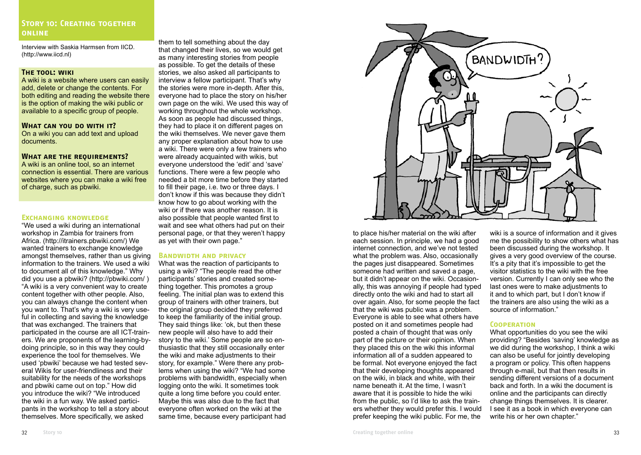## **Story 10: Creating together online**

Interview with Saskia Harmsen from IICD. (http://www.iicd.nl)

#### **The tool: wiki**

A wiki is a website where users can easily add, delete or change the contents. For both editing and reading the website there is the option of making the wiki public or available to a specific group of people.

#### **What can you do with it?**

On a wiki you can add text and upload documents.

#### **What are the requirements?**

A wiki is an online tool, so an internet connection is essential. There are various websites where you can make a wiki free of charge, such as pbwiki.

#### **Exchanging knowledge**

"We used a wiki during an international workshop in Zambia for trainers from Africa. (http://itrainers.pbwiki.com/) We wanted trainers to exchange knowledge amongst themselves, rather than us giving information to the trainers. We used a wiki to document all of this knowledge." Why did you use a pbwiki? (http://pbwiki.com/ ) "A wiki is a very convenient way to create content together with other people. Also, you can always change the content when you want to. That's why a wiki is very useful in collecting and saving the knowledge that was exchanged. The trainers that participated in the course are all ICT-trainers. We are proponents of the learning-bydoing principle, so in this way they could experience the tool for themselves. We used 'pbwiki' because we had tested several Wikis for user-friendliness and their suitability for the needs of the workshops and pbwiki came out on top." How did you introduce the wiki? "We introduced the wiki in a fun way. We asked participants in the workshop to tell a story about themselves. More specifically, we asked

them to tell something about the day that changed their lives, so we would get as many interesting stories from people as possible. To get the details of these stories, we also asked all participants to interview a fellow participant. That's why the stories were more in-depth. After this, everyone had to place the story on his/her own page on the wiki. We used this way of working throughout the whole workshop. As soon as people had discussed things, they had to place it on different pages on the wiki themselves. We never gave them any proper explanation about how to use a wiki. There were only a few trainers who were already acquainted with wikis, but everyone understood the 'edit' and 'save' functions. There were a few people who needed a bit more time before they started to fill their page, i.e. two or three days. I don't know if this was because they didn't know how to go about working with the wiki or if there was another reason. It is also possible that people wanted first to wait and see what others had put on their personal page, or that they weren't happy as yet with their own page."

## **Bandwidth and privacy**

What was the reaction of participants to using a wiki? "The people read the other participants' stories and created something together. This promotes a group feeling. The initial plan was to extend this group of trainers with other trainers, but the original group decided they preferred to keep the familiarity of the initial group. They said things like: 'ok, but then these new people will also have to add their story to the wiki.' Some people are so enthusiastic that they still occasionally enter the wiki and make adjustments to their story, for example." Were there any problems when using the wiki? "We had some problems with bandwidth, especially when logging onto the wiki. It sometimes took quite a long time before you could enter. Maybe this was also due to the fact that everyone often worked on the wiki at the same time, because every participant had



to place his/her material on the wiki after each session. In principle, we had a good internet connection, and we've not tested what the problem was. Also, occasionally the pages just disappeared. Sometimes someone had written and saved a page, but it didn't appear on the wiki. Occasionally, this was annoying if people had typed directly onto the wiki and had to start all over again. Also, for some people the fact that the wiki was public was a problem. Everyone is able to see what others have posted on it and sometimes people had posted a chain of thought that was only part of the picture or their opinion. When they placed this on the wiki this informal information all of a sudden appeared to be formal. Not everyone enjoyed the fact that their developing thoughts appeared on the wiki, in black and white, with their name beneath it. At the time, I wasn't aware that it is possible to hide the wiki from the public, so I'd like to ask the trainers whether they would prefer this. I would prefer keeping the wiki public. For me, the

wiki is a source of information and it gives me the possibility to show others what has been discussed during the workshop. It gives a very good overview of the course. It's a pity that it's impossible to get the visitor statistics to the wiki with the free version. Currently I can only see who the last ones were to make adjustments to it and to which part, but I don't know if the trainers are also using the wiki as a source of information."

## **Cooperation**

What opportunities do you see the wiki providing? "Besides 'saving' knowledge as we did during the workshop, I think a wiki can also be useful for jointly developing a program or policy. This often happens through e-mail, but that then results in sending different versions of a document back and forth. In a wiki the document is online and the participants can directly change things themselves. It is clearer. I see it as a book in which everyone can write his or her own chapter."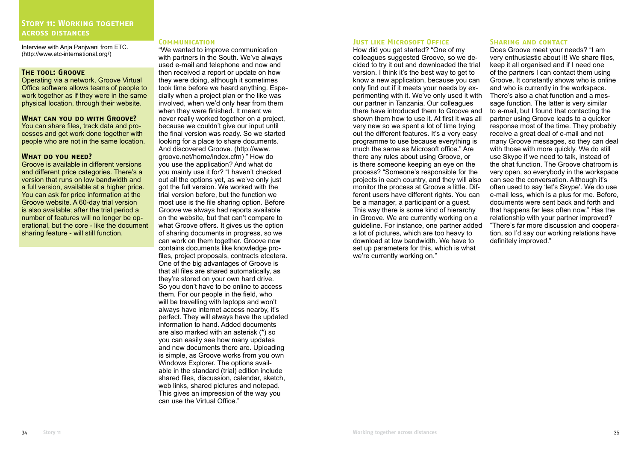Interview with Anja Panjwani from ETC. (http://www.etc-international.org/)

#### **The tool: Groove**

Operating via a network, Groove Virtual Office software allows teams of people to work together as if they were in the same physical location, through their website.

#### **What can you do with Groove?**

You can share files, track data and processes and get work done together with people who are not in the same location.

#### **What do you need?**

Groove is available in different versions and different price categories. There's a version that runs on low bandwidth and a full version, available at a higher price. You can ask for price information at the Groove website. A 60-day trial version is also available; after the trial period a number of features will no longer be operational, but the core - like the document sharing feature - will still function.

#### **Communication**

"We wanted to improve communication with partners in the South. We've always used e-mail and telephone and now and then received a report or update on how they were doing, although it sometimes took time before we heard anything. Especially when a project plan or the like was involved, when we'd only hear from them when they were finished. It meant we never really worked together on a project, because we couldn't give our input until the final version was ready. So we started looking for a place to share documents. And discovered Groove. (http://www. groove.net/home/index.cfm) " How do you use the application? And what do you mainly use it for? "I haven't checked out all the options yet, as we've only just got the full version. We worked with the trial version before, but the function we most use is the file sharing option. Before Groove we always had reports available on the website, but that can't compare to what Groove offers. It gives us the option of sharing documents in progress, so we can work on them together. Groove now contains documents like knowledge profiles, project proposals, contracts etcetera. One of the big advantages of Groove is that all files are shared automatically, as they're stored on your own hard drive. So you don't have to be online to access them. For our people in the field, who will be travelling with laptops and won't always have internet access nearby, it's perfect. They will always have the updated information to hand. Added documents are also marked with an asterisk (\*) so you can easily see how many updates and new documents there are. Uploading is simple, as Groove works from you own Windows Explorer. The options available in the standard (trial) edition include shared files, discussion, calendar, sketch, web links, shared pictures and notepad. This gives an impression of the way you can use the Virtual Office."

#### **JUST LIKE MICROSOFT OFFICE**

How did you get started? "One of my colleagues suggested Groove, so we decided to try it out and downloaded the trial version. I think it's the best way to get to know a new application, because you can only find out if it meets your needs by experimenting with it. We've only used it with our partner in Tanzania. Our colleagues there have introduced them to Groove and shown them how to use it. At first it was all very new so we spent a lot of time trying out the different features. It's a very easy programme to use because everything is much the same as Microsoft office." Are there any rules about using Groove, or is there someone keeping an eye on the process? "Someone's responsible for the projects in each country, and they will also monitor the process at Groove a little. Different users have different rights. You can be a manager, a participant or a guest. This way there is some kind of hierarchy in Groove. We are currently working on a guideline. For instance, one partner added a lot of pictures, which are too heavy to download at low bandwidth. We have to set up parameters for this, which is what we're currently working on."

#### **Sharing and contact**

Does Groove meet your needs? "I am very enthusiastic about it! We share files, keep it all organised and if I need one of the partners I can contact them using Groove. It constantly shows who is online and who is currently in the workspace. There's also a chat function and a message function. The latter is very similar to e-mail, but I found that contacting the partner using Groove leads to a quicker response most of the time. They probably receive a great deal of e-mail and not many Groove messages, so they can deal with those with more quickly. We do still use Skype if we need to talk, instead of the chat function. The Groove chatroom is very open, so everybody in the workspace can see the conversation. Although it's often used to say 'let's Skype'. We do use e-mail less, which is a plus for me. Before, documents were sent back and forth and that happens far less often now." Has the relationship with your partner improved? "There's far more discussion and cooperation, so I'd say our working relations have definitely improved."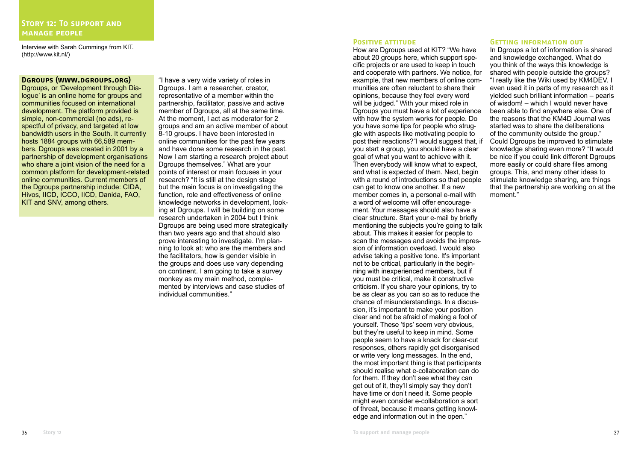Interview with Sarah Cummings from KIT. (http://www.kit.nl/)

## **Dgroups (www.dgroups.org)**

Dgroups, or 'Development through Dialogue' is an online home for groups and communities focused on international development. The platform provided is simple, non-commercial (no ads), respectful of privacy, and targeted at low bandwidth users in the South. It currently hosts 1884 groups with 66,589 members. Dgroups was created in 2001 by a partnership of development organisations who share a joint vision of the need for a common platform for development-related online communities. Current members of the Dgroups partnership include: CIDA, Hivos, IICD, ICCO, IICD, Danida, FAO, KIT and SNV, among others.

"I have a very wide variety of roles in Dgroups. I am a researcher, creator, representative of a member within the partnership, facilitator, passive and active member of Dgroups, all at the same time. At the moment, I act as moderator for 2 groups and am an active member of about 8-10 groups. I have been interested in online communities for the past few years and have done some research in the past. Now I am starting a research project about Dgroups themselves." What are your points of interest or main focuses in your research? "It is still at the design stage but the main focus is on investigating the function, role and effectiveness of online knowledge networks in development, looking at Dgroups. I will be building on some research undertaken in 2004 but I think Dgroups are being used more strategically than two years ago and that should also prove interesting to investigate. I'm planning to look at: who are the members and the facilitators, how is gender visible in the groups and does use vary depending on continent. I am going to take a survey monkey as my main method, complemented by interviews and case studies of individual communities."

## **POSITIVE ATTITUDE**

How are Dgroups used at KIT? "We have about 20 groups here, which support specific projects or are used to keep in touch and cooperate with partners. We notice, for example, that new members of online communities are often reluctant to share their opinions, because they feel every word will be judged." With your mixed role in Dgroups you must have a lot of experience with how the system works for people. Do you have some tips for people who struggle with aspects like motivating people to post their reactions?"I would suggest that, if you start a group, you should have a clear goal of what you want to achieve with it. Then everybody will know what to expect, and what is expected of them. Next, begin with a round of introductions so that people can get to know one another. If a new member comes in, a personal e-mail with a word of welcome will offer encouragement. Your messages should also have a clear structure. Start your e-mail by briefly mentioning the subjects you're going to talk about. This makes it easier for people to scan the messages and avoids the impression of information overload. I would also advise taking a positive tone. It's important not to be critical, particularly in the beginning with inexperienced members, but if you must be critical, make it constructive criticism. If you share your opinions, try to be as clear as you can so as to reduce the chance of misunderstandings. In a discussion, it's important to make your position clear and not be afraid of making a fool of yourself. These 'tips' seem very obvious, but they're useful to keep in mind. Some people seem to have a knack for clear-cut responses, others rapidly get disorganised or write very long messages. In the end, the most important thing is that participants should realise what e-collaboration can do for them. If they don't see what they can get out of it, they'll simply say they don't have time or don't need it. Some people might even consider e-collaboration a sort of threat, because it means getting knowledge and information out in the open."

#### **GETTING INFORMATION OUT**

In Dgroups a lot of information is shared and knowledge exchanged. What do you think of the ways this knowledge is shared with people outside the groups? "I really like the Wiki used by KM4DEV. I even used it in parts of my research as it yielded such brilliant information – pearls of wisdom! – which I would never have been able to find anywhere else. One of the reasons that the KM4D Journal was started was to share the deliberations of the community outside the group." Could Dgroups be improved to stimulate knowledge sharing even more? "It would be nice if you could link different Dgroups more easily or could share files among groups. This, and many other ideas to stimulate knowledge sharing, are things that the partnership are working on at the moment."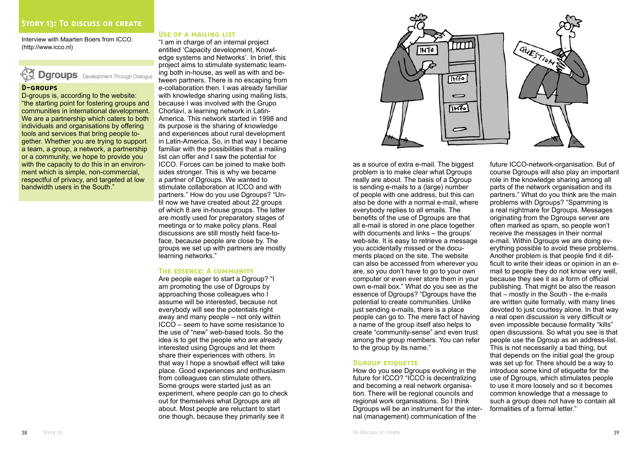Interview with Maarten Boers from ICCO. (http://www.icco.nl)

## **Dgroups** Development Through Dialogue

## **D-groups**

D-groups is, according to the website: "the starting point for fostering groups and communities in international development. We are a partnership which caters to both individuals and organisations by offering tools and services that bring people together. Whether you are trying to support a team, a group, a network, a partnership or a community, we hope to provide you with the capacity to do this in an environment which is simple, non-commercial, respectful of privacy, and targeted at low bandwidth users in the South."

## **Use of a mailing list**

"I am in charge of an internal project entitled 'Capacity development, Knowledge systems and Networks'. In brief, this project aims to stimulate systematic learning both in-house, as well as with and between partners. There is no escaping from e-collaboration then. I was already familiar with knowledge sharing using mailing lists, because I was involved with the Grupo Chorlaví, a learning network in Latin-America. This network started in 1998 and its purpose is the sharing of knowledge and experiences about rural development in Latin-America. So, in that way I became familiar with the possibilities that a mailing list can offer and I saw the potential for ICCO. Forces can be joined to make both sides stronger. This is why we became a partner of Dgroups. We wanted to stimulate collaboration at ICCO and with partners." How do you use Dgroups? "Until now we have created about 22 groups of which 8 are in-house groups. The latter are mostly used for preparatory stages of meetings or to make policy plans. Real discussions are still mostly held face-toface, because people are close by. The groups we set up with partners are mostly learning networks."

#### **The essence: A community**

Are people eager to start a Dgroup? "I am promoting the use of Dgroups by approaching those colleagues who I assume will be interested, because not everybody will see the potentials right away and many people – not only within ICCO – seem to have some resistance to the use of "new" web-based tools. So the idea is to get the people who are already interested using Daroups and let them share their experiences with others. In that way I hope a snowball effect will take place. Good experiences and enthusiasm from colleagues can stimulate others. Some groups were started just as an experiment, where people can go to check out for themselves what Dgroups are all about. Most people are reluctant to start one though, because they primarily see it



as a source of extra e-mail. The biggest problem is to make clear what Dgroups really are about. The basis of a Dgroup is sending e-mails to a (large) number of people with one address, but this can also be done with a normal e-mail, where everybody replies to all emails. The benefits of the use of Dgroups are that all e-mail is stored in one place together with documents and links – the groups' web-site. It is easy to retrieve a message you accidentally missed or the documents placed on the site. The website can also be accessed from wherever you are, so you don't have to go to your own computer or even ever store them in your own e-mail box." What do you see as the essence of Dgroups? "Dgroups have the potential to create communities. Unlike just sending e-mails, there is a place people can go to. The mere fact of having a name of the group itself also helps to create "community-sense" and even trust among the group members. You can refer to the group by its name."

#### **DGROUP ETIQUETTE**

How do you see Dgroups evolving in the future for ICCO? "ICCO is decentralizing and becoming a real network organisation. There will be regional councils and regional work organisations. So I think Dgroups will be an instrument for the internal (management) communication of the

future ICCO-network-organisation. But of course Dgroups will also play an important role in the knowledge sharing among all parts of the network organisation and its partners." What do you think are the main problems with Daroups? "Spamming is a real nightmare for Dgroups. Messages originating from the Dgroups server are often marked as spam, so people won't receive the messages in their normal e-mail. Within Dgroups we are doing everything possible to avoid these problems. Another problem is that people find it difficult to write their ideas or opinion in an email to people they do not know very well, because they see it as a form of official publishing. That might be also the reason that – mostly in the South - the e-mails are written quite formally, with many lines devoted to just courtesy alone. In that way a real open discussion is very difficult or even impossible because formality "kills" open discussions. So what you see is that people use the Dgroup as an address-list. This is not necessarily a bad thing, but that depends on the initial goal the group was set up for. There should be a way to introduce some kind of etiquette for the use of Dgroups, which stimulates people to use it more loosely and so it becomes common knowledge that a message to such a group does not have to contain all formalities of a formal letter."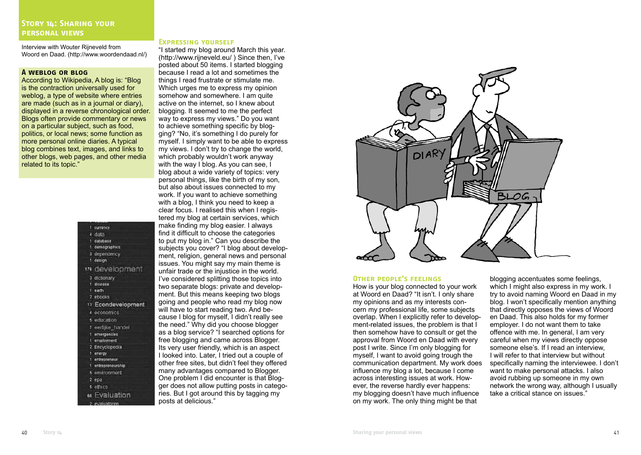Interview with Wouter Rijneveld from Woord en Daad. (http://www.woordendaad.nl/)

#### **A weblog or blog**

According to Wikipedia, A blog is: "Blog is the contraction universally used for weblog, a type of website where entries are made (such as in a journal or diary), displayed in a reverse chronological order. Blogs often provide commentary or news on a particular subject, such as food, politics, or local news; some function as more personal online diaries. A typical blog combines text, images, and links to other blogs, web pages, and other media related to its topic."

|   | 1 currency         |
|---|--------------------|
|   | 4 data             |
|   | 1 database         |
|   | 1 demographics     |
|   | 3 dependency       |
|   | 1 design           |
|   | 176 development    |
|   | 3 dictionary       |
|   | 1 disease          |
| п | earth              |
|   | 2 ebooks           |
|   | 13 Econdevelopment |
|   | 4 economics        |
|   | 5 education        |
|   | 7 eerlijke handel  |
|   | 1 emergencies      |
|   | 1 employment       |
|   | 2 Encyclopedia     |
|   | 1 energy           |
|   | 1 entrepreneur     |
| n | entrepremeurship   |
|   | 6 environment      |
|   | 2epa               |
|   | 5 ethics           |
|   | 68 Evaluation      |
|   |                    |

#### **Expressing yourself**

"I started my blog around March this year. (http://www.rijneveld.eu/ ) Since then, I've posted about 50 items. I started blogging because I read a lot and sometimes the things I read frustrate or stimulate me. Which urges me to express my opinion somehow and somewhere. I am quite active on the internet, so I knew about blogging. It seemed to me the perfect way to express my views." Do you want to achieve something specific by blogging? "No, it's something I do purely for myself. I simply want to be able to express my views. I don't try to change the world, which probably wouldn't work anyway with the way I blog. As you can see, I blog about a wide variety of topics: very personal things, like the birth of my son, but also about issues connected to my work. If you want to achieve something with a blog, I think you need to keep a clear focus. I realised this when I registered my blog at certain services, which make finding my blog easier. I always find it difficult to choose the categories to put my blog in." Can you describe the subjects you cover? "I blog about development, religion, general news and personal issues. You might say my main theme is unfair trade or the injustice in the world. I've considered splitting those topics into two separate blogs: private and development. But this means keeping two blogs going and people who read my blog now will have to start reading two. And because I blog for myself, I didn't really see the need." Why did you choose blogger as a blog service? "I searched options for free blogging and came across Blogger. Its very user friendly, which is an aspect I looked into. Later, I tried out a couple of other free sites, but didn't feel they offered many advantages compared to Blogger. One problem I did encounter is that Blogger does not allow putting posts in categories. But I got around this by tagging my posts at delicious."



#### **Other people's feelings**

How is your blog connected to your work at Woord en Daad? "It isn't. I only share my opinions and as my interests concern my professional life, some subjects overlap. When I explicitly refer to development-related issues, the problem is that I then somehow have to consult or get the approval from Woord en Daad with every post I write. Since I'm only blogging for myself, I want to avoid going trough the communication department. My work does influence my blog a lot, because I come across interesting issues at work. However, the reverse hardly ever happens: my blogging doesn't have much influence on my work. The only thing might be that

blogging accentuates some feelings. which I might also express in my work. I try to avoid naming Woord en Daad in my blog. I won't specifically mention anything that directly opposes the views of Woord en Daad. This also holds for my former employer. I do not want them to take offence with me. In general, I am very careful when my views directly oppose someone else's. If I read an interview, I will refer to that interview but without specifically naming the interviewee. I don't want to make personal attacks. I also avoid rubbing up someone in my own network the wrong way, although I usually take a critical stance on issues."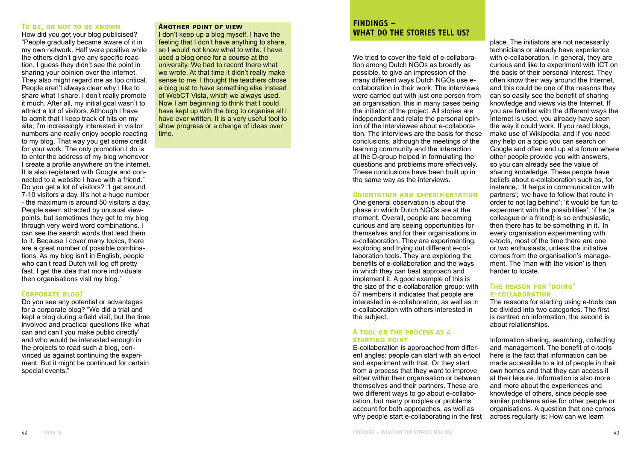#### **To be, or not to be known**

How did you get your blog publicised? "People gradually became aware of it in my own network. Half were positive while the others didn't give any specific reaction. I guess they didn't see the point in sharing your opinion over the internet. They also might regard me as too critical. People aren't always clear why I like to share what I share. I don't really promote it much. After all, my initial goal wasn't to attract a lot of visitors. Although I have to admit that I keep track of hits on my site; I'm increasingly interested in visitor numbers and really enjoy people reacting to my blog. That way you get some credit for your work. The only promotion I do is to enter the address of my blog whenever I create a profile anywhere on the internet. It is also registered with Google and connected to a website I have with a friend." Do you get a lot of visitors? "I get around 7-10 visitors a day. It's not a huge number - the maximum is around 50 visitors a day. People seem attracted by unusual viewpoints, but sometimes they get to my blog through very weird word combinations. I can see the search words that lead them to it. Because I cover many topics, there are a great number of possible combinations. As my blog isn't in English, people who can't read Dutch will log off pretty fast. I get the idea that more individuals then organisations visit my blog."

#### **Corporate blog?**

Do you see any potential or advantages for a corporate blog? "We did a trial and kept a blog during a field visit, but the time involved and practical questions like 'what can and can't you make public directly' and who would be interested enough in the projects to read such a blog, convinced us against continuing the experiment. But it might be continued for certain special events."

#### **Another point of view**

I don't keep up a blog myself. I have the feeling that I don't have anything to share, so I would not know what to write. I have used a blog once for a course at the university. We had to record there what we wrote. At that time it didn't really make sense to me. I thought the teachers chose a blog just to have something else instead of WebCT Vista, which we always used. Now I am beginning to think that I could have kept up with the blog to organise all I have ever written. It is a very useful tool to show progress or a change of ideas over time.

## **FINDINGS – WHAT DO THE STORIES TELL US?**

We tried to cover the field of e-collaboration among Dutch NGOs as broadly as possible, to give an impression of the many different ways Dutch NGOs use ecollaboration in their work. The interviews were carried out with just one person from an organisation, this in many cases being the initiator of the project. All stories are independent and relate the personal opinion of the interviewee about e-collaboration. The interviews are the basis for these conclusions, although the meetings of the learning community and the interaction at the D-group helped in formulating the questions and problems more effectively. These conclusions have been built up in the same way as the interviews.

#### **Orientation and experimentation**

One general observation is about the phase in which Dutch NGOs are at the moment. Overall, people are becoming curious and are seeing opportunities for themselves and for their organisations in e-collaboration. They are experimenting, exploring and trying out different e-collaboration tools. They are exploring the benefits of e-collaboration and the ways in which they can best approach and implement it. A good example of this is the size of the e-collaboration group: with 57 members it indicates that people are interested in e-collaboration, as well as in e-collaboration with others interested in the subject.

#### **A tool or the process as a starting point**

E-collaboration is approached from different angles: people can start with an e-tool and experiment with that. Or they start from a process that they want to improve either within their organisation or between themselves and their partners. These are two different ways to go about e-collaboration, but many principles or problems account for both approaches, as well as why people start e-collaborating in the first

place. The initiators are not necessarily technicians or already have experience with e-collaboration. In general, they are curious and like to experiment with ICT on the basis of their personal interest. They often know their way around the Internet, and this could be one of the reasons they can so easily see the benefit of sharing knowledge and views via the Internet. If you are familiar with the different ways the Internet is used, you already have seen the way it could work. If you read blogs, make use of Wikipedia, and if you need any help on a topic you can search on Google and often end up at a forum where other people provide you with answers, so you can already see the value of sharing knowledge. These people have beliefs about e-collaboration such as, for instance,: 'It helps in communication with partners'; 'we have to follow that route in order to not lag behind'; 'it would be fun to experiment with the possibilities'; 'if he (a colleague or a friend) is so enthusiastic, then there has to be something in it.' In every organisation experimenting with e-tools, most of the time there are one or two enthusiasts, unless the initiative comes from the organisation's management. The 'man with the vision' is then harder to locate.

#### **The reason for 'doing' e-collaboration**

The reasons for starting using e-tools can be divided into two categories. The first is centred on information, the second is about relationships.

Information sharing, searching, collecting and management. The benefit of e-tools here is the fact that information can be made accessible to a lot of people in their own homes and that they can access it at their leisure. Information is also more and more about the experiences and knowledge of others, since people see similar problems arise for other people or organisations. A question that one comes across regularly is: How can we learn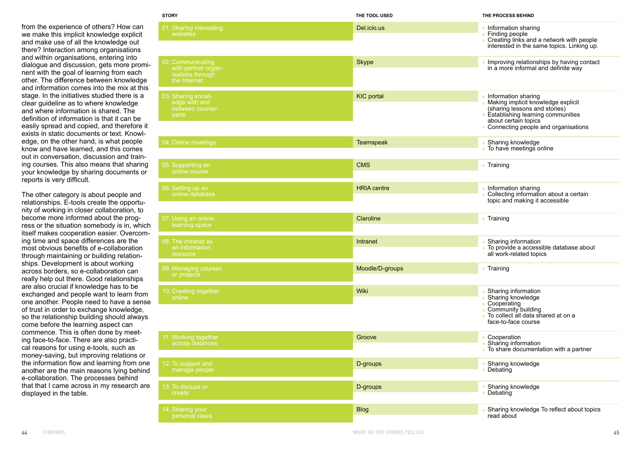from the experience of others? How can we make this implicit knowledge explicit and make use of all the knowledge out there? Interaction among organisations and within organisations, entering into dialogue and discussion, gets more promi nent with the goal of learning from each other. The difference between knowledge and information comes into the mix at this stage. In the initiatives studied there is a clear guideline as to where knowledge and where information is shared. The definition of information is that it can be easily spread and copied, and therefore it exists in static documents or text. Knowl edge, on the other hand, is what people know and have learned, and this comes out in conversation, discussion and train ing courses. This also means that sharing your knowledge by sharing documents or reports is very difficult.

The other category is about people and relationships. E-tools create the opportu nity of working in closer collaboration, to become more informed about the prog ress or the situation somebody is in, which itself makes cooperation easier. Overcom ing time and space differences are the most obvious benefits of e-collaboration through maintaining or building relation ships. Development is about working across borders, so e-collaboration can really help out there. Good relationships are also crucial if knowledge has to be exchanged and people want to learn from one another. People need to have a sense of trust in order to exchange knowledge, so the relationship building should always come before the learning aspect can commence. This is often done by meet ing face-to-face. There are also practi cal reasons for using e-tools, such as money-saving, but improving relations or the information flow and learning from one another are the main reasons lying behind e-collaboration. The processes behind that that I came across in my research are displayed in the table.

| <b>STORY</b>                                                                 | THE TOOL USED      | THE PROCESS BEHIND                                                                                                                                                                                   |
|------------------------------------------------------------------------------|--------------------|------------------------------------------------------------------------------------------------------------------------------------------------------------------------------------------------------|
| 01. Sharing interesting<br>websites                                          | Del.icio.us        | • Information sharing<br>• Finding people<br>• Creating links and a network with people<br>interested in the same topics. Linking up.                                                                |
| 02. Communicating<br>with partner organ-<br>isations through<br>the Internet | <b>Skype</b>       | Improving relationships by having contact<br>in a more informal and definite way                                                                                                                     |
| 03. Sharing knowl-<br>edge with and<br>between counter-<br>parts             | <b>KIC</b> portal  | Information sharing<br>· Making implicit knowledge explicit<br>(sharing lessons and stories)<br>• Establishing learning communities<br>about certain topics<br>• Connecting people and organisations |
| 04. Online meetings                                                          | <b>Teamspeak</b>   | Sharing knowledge<br>• To have meetings online                                                                                                                                                       |
| 05. Supporting an<br>online course                                           | <b>CMS</b>         | • Training                                                                                                                                                                                           |
| 06. Setting up an<br>online database                                         | <b>HRIA</b> centre | Information sharing<br>Collecting information about a certain<br>topic and making it accessible                                                                                                      |
| 07. Using an online<br>learning space                                        | Claroline          | • Training                                                                                                                                                                                           |
| 08. The intranet as<br>an information<br>resource                            | Intranet           | Sharing information<br>· To provide a accessible database about<br>all work-related topics                                                                                                           |
| 09. Managing courses<br>or projects                                          | Moodle/D-groups    | • Training                                                                                                                                                                                           |
| 10. Creating together<br>online                                              | Wiki               | Sharing information<br>· Sharing knowledge<br>• Cooperating<br>• Community building<br>• To collect all data shared at on a<br>face-to-face course                                                   |
| 11. Working together<br>across distances                                     | Groove             | Cooperation<br>Sharing information<br>• To share documentation with a partner                                                                                                                        |
| 12. To support and<br>manage people                                          | D-groups           | Sharing knowledge<br>Debating                                                                                                                                                                        |
| 13. To discuss or<br>create                                                  | D-groups           | Sharing knowledge<br>Debating                                                                                                                                                                        |
| 14. Sharing your<br>personal views                                           | <b>Blog</b>        | Sharing knowledge To reflect about topics<br>read about                                                                                                                                              |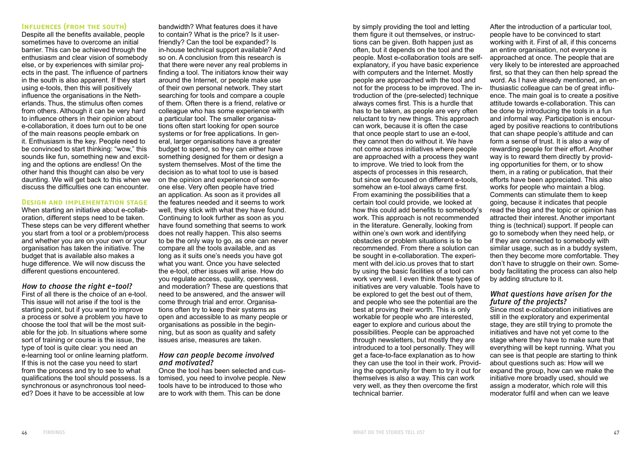## **Inf uences (from the south) l**

Despite all the benefits available, people sometimes have to overcome an initial barrier. This can be achieved through the enthusiasm and clear vision of somebody else, or by experiences with similar projects in the past. The influence of partners in the south is also apparent. If they start using e-tools, then this will positively influence the organisations in the Netherlands. Thus, the stimulus often comes from others. Although it can be very hard to influence others in their opinion about e-collaboration, it does turn out to be one of the main reasons people embark on it. Enthusiasm is the key. People need to be convinced to start thinking: "wow," this sounds like fun, something new and exciting and the options are endless! On the other hand this thought can also be very daunting. We will get back to this when we discuss the difficulties one can encounter.

#### **Design and implementation stage**

When starting an initiative about e-collaboration, different steps need to be taken. These steps can be very different whether you start from a tool or a problem/process and whether you are on your own or your organisation has taken the initiative. The budget that is available also makes a huge difference. We will now discuss the different questions encountered.

#### *How to choose the right e-tool?*

First of all there is the choice of an e-tool. This issue will not arise if the tool is the starting point, but if you want to improve a process or solve a problem you have to choose the tool that will be the most suitable for the job. In situations where some sort of training or course is the issue, the type of tool is quite clear: you need an e-learning tool or online learning platform. If this is not the case you need to start from the process and try to see to what qualifications the tool should possess. Is a synchronous or asynchronous tool needed? Does it have to be accessible at low

bandwidth? What features does it have to contain? What is the price? Is it userfriendly? Can the tool be expanded? Is in-house technical support available? And so on. A conclusion from this research is that there were never any real problems in finding a tool. The initiators know their way around the Internet, or people make use of their own personal network. They start searching for tools and compare a couple of them. Often there is a friend, relative or colleague who has some experience with a particular tool. The smaller organisations often start looking for open source systems or for free applications. In general, larger organisations have a greater budget to spend, so they can either have something designed for them or design a system themselves. Most of the time the decision as to what tool to use is based on the opinion and experience of someone else. Very often people have tried an application. As soon as it provides all the features needed and it seems to work well, they stick with what they have found. Continuing to look further as soon as you have found something that seems to work does not really happen. This also seems to be the only way to go, as one can never compare all the tools available, and as long as it suits one's needs you have got what you want. Once you have selected the e-tool, other issues will arise. How do you regulate access, quality, openness, and moderation? These are questions that need to be answered, and the answer will come through trial and error. Organisations often try to keep their systems as open and accessible to as many people or organisations as possible in the beginning, but as soon as quality and safety issues arise, measures are taken.

#### *How can people become involved and motivated?*

Once the tool has been selected and customised, you need to involve people. New tools have to be introduced to those who are to work with them. This can be done

by simply providing the tool and letting them figure it out themselves, or instructions can be given. Both happen just as often, but it depends on the tool and the people. Most e-collaboration tools are selfexplanatory, if you have basic experience with computers and the Internet. Mostly people are approached with the tool and not for the process to be improved. The introduction of the (pre-selected) technique always comes first. This is a hurdle that has to be taken, as people are very often reluctant to try new things. This approach can work, because it is often the case that once people start to use an e-tool, they cannot then do without it. We have not come across initiatives where people are approached with a process they want to improve. We tried to look from the aspects of processes in this research, but since we focused on different e-tools, somehow an e-tool always came first. From examining the possibilities that a certain tool could provide, we looked at how this could add benefits to somebody's work. This approach is not recommended in the literature. Generally, looking from within one's own work and identifying obstacles or problem situations is to be recommended. From there a solution can be sought in e-collaboration. The experiment with del.icio.us proves that to start by using the basic facilities of a tool can work very well. I even think these types of initiatives are very valuable. Tools have to be explored to get the best out of them, and people who see the potential are the best at proving their worth. This is only workable for people who are interested, eager to explore and curious about the possibilities. People can be approached through newsletters, but mostly they are introduced to a tool personally. They will get a face-to-face explanation as to how they can use the tool in their work. Providing the opportunity for them to try it out for themselves is also a way. This can work very well, as they then overcome the first technical barrier.

After the introduction of a particular tool, people have to be convinced to start working with it. First of all, if this concerns an entire organisation, not everyone is approached at once. The people that are very likely to be interested are approached first, so that they can then help spread the word. As I have already mentioned, an enthusiastic colleague can be of great influence. The main goal is to create a positive attitude towards e-collaboration. This can be done by introducing the tools in a fun and informal way. Participation is encouraged by positive reactions to contributions that can shape people's attitude and can form a sense of trust. It is also a way of rewarding people for their effort. Another way is to reward them directly by providing opportunities for them, or to show them, in a rating or publication, that their efforts have been appreciated. This also works for people who maintain a blog. Comments can stimulate them to keep going, because it indicates that people read the blog and the topic or opinion has attracted their interest. Another important thing is (technical) support. If people can go to somebody when they need help, or if they are connected to somebody with similar usage, such as in a buddy system, then they become more comfortable. They don't have to struggle on their own. Somebody facilitating the process can also help by adding structure to it.

#### *What questions have arisen for the future of the projects?*

Since most e-collaboration initiatives are still in the exploratory and experimental stage, they are still trying to promote the initiatives and have not yet come to the stage where they have to make sure that everything will be kept running. What you can see is that people are starting to think about questions such as: How will we expand the group, how can we make the initiative more broadly used, should we assign a moderator, which role will this moderator fulfil and when can we leave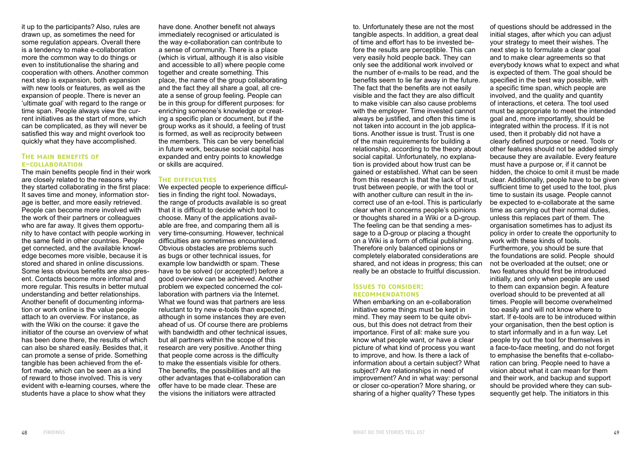it up to the participants? Also, rules are drawn up, as sometimes the need for some regulation appears. Overall there is a tendency to make e-collaboration more the common way to do things or even to institutionalise the sharing and cooperation with others. Another common next step is expansion, both expansion with new tools or features, as well as the expansion of people. There is never an 'ultimate goal' with regard to the range or time span. People always view the current initiatives as the start of more, which can be complicated, as they will never be satisfied this way and might overlook too quickly what they have accomplished.

#### **THE MAIN BENEFITS OF e-collaboration**

The main benefits people find in their work are closely related to the reasons why they started collaborating in the first place: It saves time and money, information storage is better, and more easily retrieved. People can become more involved with the work of their partners or colleagues who are far away. It gives them opportunity to have contact with people working in the same field in other countries. People get connected, and the available knowledge becomes more visible, because it is stored and shared in online discussions. Some less obvious benefits are also present. Contacts become more informal and more regular. This results in better mutual understanding and better relationships. Another benefit of documenting information or work online is the value people attach to an overview. For instance, as with the Wiki on the course: it gave the initiator of the course an overview of what has been done there, the results of which can also be shared easily. Besides that, it can promote a sense of pride. Something tangible has been achieved from the effort made, which can be seen as a kind of reward to those involved. This is very evident with e-learning courses, where the students have a place to show what they

have done. Another benefit not always immediately recognised or articulated is the way e-collaboration can contribute to a sense of community. There is a place (which is virtual, although it is also visible and accessible to all) where people come together and create something. This place, the name of the group collaborating and the fact they all share a goal, all create a sense of group feeling. People can be in this group for different purposes: for enriching someone's knowledge or creating a specific plan or document, but if the group works as it should, a feeling of trust is formed, as well as reciprocity between the members. This can be very beneficial in future work, because social capital has expanded and entry points to knowledge or skills are acquired.

## **The diff culties i**

We expected people to experience difficulties in finding the right tool. Nowadays, the range of products available is so great that it is difficult to decide which tool to choose. Many of the applications available are free, and comparing them all is very time-consuming. However, technical difficulties are sometimes encountered. Obvious obstacles are problems such as bugs or other technical issues, for example low bandwidth or spam. These have to be solved (or accepted!) before a good overview can be achieved. Another problem we expected concerned the collaboration with partners via the Internet. What we found was that partners are less reluctant to try new e-tools than expected, although in some instances they are even ahead of us. Of course there are problems with bandwidth and other technical issues, but all partners within the scope of this research are very positive. Another thing that people come across is the difficulty to make the essentials visible for others. The benefits, the possibilities and all the other advantages that e-collaboration can offer have to be made clear. These are the visions the initiators were attracted

to. Unfortunately these are not the most tangible aspects. In addition, a great deal of time and effort has to be invested before the results are perceptible. This can very easily hold people back. They can only see the additional work involved or the number of e-mails to be read, and the benefits seem to lie far away in the future. The fact that the benefits are not easily visible and the fact they are also difficult to make visible can also cause problems with the employer. Time invested cannot always be justified, and often this time is not taken into account in the job applications. Another issue is trust. Trust is one of the main requirements for building a relationship, according to the theory about social capital. Unfortunately, no explanation is provided about how trust can be gained or established. What can be seen from this research is that the lack of trust, trust between people, or with the tool or with another culture can result in the incorrect use of an e-tool. This is particularly clear when it concerns people's opinions or thoughts shared in a Wiki or a D-group. The feeling can be that sending a message to a D-group or placing a thought on a Wiki is a form of official publishing. Therefore only balanced opinions or completely elaborated considerations are shared, and not ideas in progress; this can really be an obstacle to fruitful discussion.

#### **Issues to consider: recommendations**

When embarking on an e-collaboration initiative some things must be kept in mind. They may seem to be quite obvious, but this does not detract from their importance. First of all: make sure you know what people want, or have a clear picture of what kind of process you want to improve, and how. Is there a lack of information about a certain subject? What subject? Are relationships in need of improvement? And in what way: personal or closer co-operation? More sharing, or sharing of a higher quality? These types

of questions should be addressed in the initial stages, after which you can adjust your strategy to meet their wishes. The next step is to formulate a clear goal and to make clear agreements so that everybody knows what to expect and what is expected of them. The goal should be specified in the best way possible, with a specific time span, which people are involved, and the quality and quantity of interactions, et cetera. The tool used must be appropriate to meet the intended goal and, more importantly, should be integrated within the process. If it is not used, then it probably did not have a clearly defined purpose or need. Tools or other features should not be added simply because they are available. Every feature must have a purpose or, if it cannot be hidden, the choice to omit it must be made clear. Additionally, people have to be given sufficient time to get used to the tool, plus time to sustain its usage. People cannot be expected to e-collaborate at the same time as carrying out their normal duties. unless this replaces part of them. The organisation sometimes has to adjust its policy in order to create the opportunity to work with these kinds of tools. Furthermore, you should be sure that the foundations are solid. People should not be overloaded at the outset; one or two features should first be introduced initially, and only when people are used to them can expansion begin. A feature overload should to be prevented at all times. People will become overwhelmed too easily and will not know where to start. If e-tools are to be introduced within your organisation, then the best option is to start informally and in a fun way. Let people try out the tool for themselves in a face-to-face meeting, and do not forget to emphasise the benefits that e-collaboration can bring. People need to have a vision about what it can mean for them and their work, and backup and support should be provided where they can subsequently get help. The initiators in this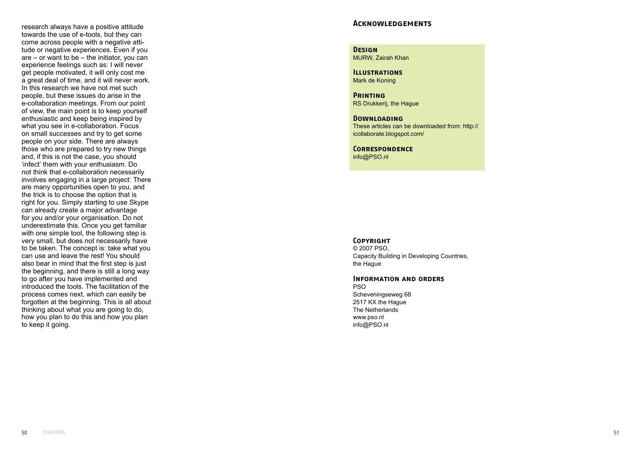research always have a positive attitude towards the use of e-tools, but they can come across people with a negative atti tude or negative experiences. Even if you are – or want to be – the initiator, you can experience feelings such as: I will never get people motivated, it will only cost me a great deal of time, and it will never work. In this research we have not met such people, but these issues do arise in the e-collaboration meetings. From our point of view, the main point is to keep yourself enthusiastic and keep being inspired by what you see in e-collaboration. Focus on small successes and try to get some people on your side. There are always those who are prepared to try new things and, if this is not the case, you should 'infect' them with your enthusiasm. Do not think that e-collaboration necessarily involves engaging in a large project: There are many opportunities open to you, and the trick is to choose the option that is right for you. Simply starting to use Skype can already create a major advantage for you and/or your organisation. Do not underestimate this. Once you get familiar with one simple tool, the following step is very small, but does not necessarily have to be taken. The concept is: take what you can use and leave the rest! You should also bear in mind that the first step is just the beginning, and there is still a long way to go after you have implemented and introduced the tools. The facilitation of the process comes next, which can easily be forgotten at the beginning. This is all about thinking about what you are going to do, how you plan to do this and how you plan to keep it going.

## **Acknowledgements**

**Design** MURW, Zairah Khan

**Illustrations** Mark de Koning

**Printing** RS Drukkerij, the Hague

**Downloading** These articles can be downloaded from: http:// icollaborate.blogspot.com/

**Correspondence** info@PSO.nl

#### **Copyright**

© 2007 PSO, Capacity Building in Developing Countries, the Hague

## **Information and orders**

PSO Scheveningseweg 68 2517 KX the Hague The Netherlands www.pso.nl info@PSO.nl